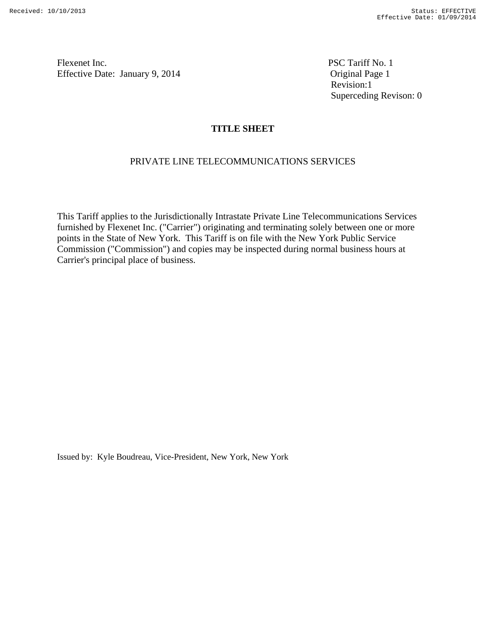Revision:1 Superceding Revison: 0

# **TITLE SHEET**

### PRIVATE LINE TELECOMMUNICATIONS SERVICES

This Tariff applies to the Jurisdictionally Intrastate Private Line Telecommunications Services furnished by Flexenet Inc. ("Carrier") originating and terminating solely between one or more points in the State of New York. This Tariff is on file with the New York Public Service Commission ("Commission") and copies may be inspected during normal business hours at Carrier's principal place of business.

Issued by: Kyle Boudreau, Vice-President, New York, New York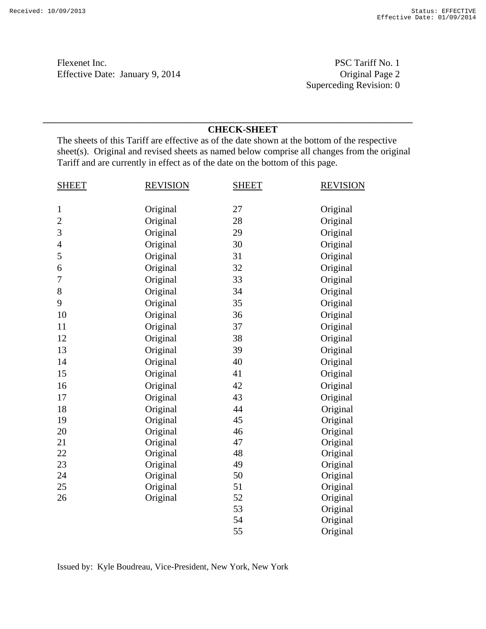Flexenet Inc.<br>
PSC Tariff No. 1<br>
PSC Tariff No. 1<br>
Original Page 2 Effective Date: January 9, 2014

Superceding Revision: 0

### **CHECK-SHEET**

The sheets of this Tariff are effective as of the date shown at the bottom of the respective sheet(s). Original and revised sheets as named below comprise all changes from the original Tariff and are currently in effect as of the date on the bottom of this page.

\_\_\_\_\_\_\_\_\_\_\_\_\_\_\_\_\_\_\_\_\_\_\_\_\_\_\_\_\_\_\_\_\_\_\_\_\_\_\_\_\_\_\_\_\_\_\_\_\_\_\_\_\_\_\_\_\_\_\_\_\_\_\_\_\_\_\_\_\_\_

| <b>SHEET</b>   | <b>REVISION</b> | <b>SHEET</b> | <b>REVISION</b> |
|----------------|-----------------|--------------|-----------------|
|                |                 |              |                 |
| $\mathbf{1}$   | Original        | 27           | Original        |
| $\overline{2}$ | Original        | 28           | Original        |
| 3              | Original        | 29           | Original        |
| $\overline{4}$ | Original        | 30           | Original        |
| 5              | Original        | 31           | Original        |
| 6              | Original        | 32           | Original        |
| 7              | Original        | 33           | Original        |
| 8              | Original        | 34           | Original        |
| 9              | Original        | 35           | Original        |
| 10             | Original        | 36           | Original        |
| 11             | Original        | 37           | Original        |
| 12             | Original        | 38           | Original        |
| 13             | Original        | 39           | Original        |
| 14             | Original        | 40           | Original        |
| 15             | Original        | 41           | Original        |
| 16             | Original        | 42           | Original        |
| 17             | Original        | 43           | Original        |
| 18             | Original        | 44           | Original        |
| 19             | Original        | 45           | Original        |
| 20             | Original        | 46           | Original        |
| 21             | Original        | 47           | Original        |
| 22             | Original        | 48           | Original        |
| 23             | Original        | 49           | Original        |
| 24             | Original        | 50           | Original        |
| 25             | Original        | 51           | Original        |
| 26             | Original        | 52           | Original        |
|                |                 | 53           | Original        |
|                |                 | 54           | Original        |
|                |                 | 55           | Original        |

Issued by: Kyle Boudreau, Vice-President, New York, New York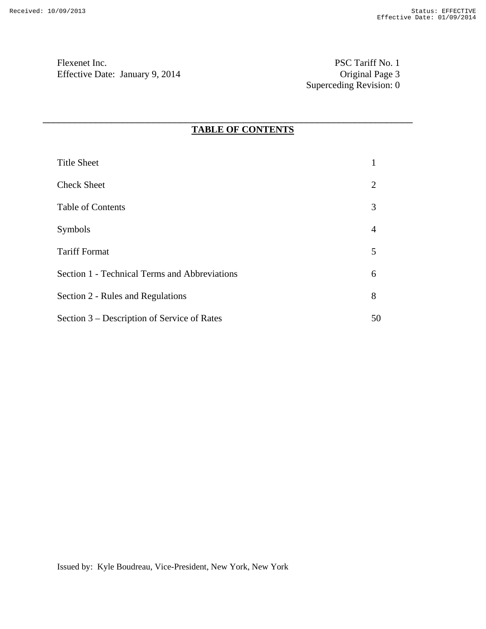Flexenet Inc. PSC Tariff No. 1 Effective Date: January 9, 2014

Superceding Revision: 0

# **TABLE OF CONTENTS**

| <b>Title Sheet</b>                            |                |
|-----------------------------------------------|----------------|
| <b>Check Sheet</b>                            | 2              |
| Table of Contents                             | 3              |
| Symbols                                       | $\overline{4}$ |
| <b>Tariff Format</b>                          | 5              |
| Section 1 - Technical Terms and Abbreviations | 6              |
| Section 2 - Rules and Regulations             | 8              |
| Section 3 – Description of Service of Rates   | 50             |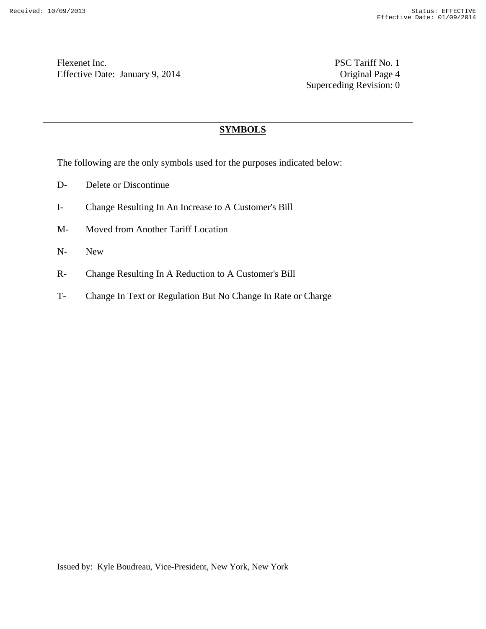Flexenet Inc. PSC Tariff No. 1 Effective Date: January 9, 2014 Quiet Britain Page 4

Superceding Revision: 0

# **SYMBOLS**

\_\_\_\_\_\_\_\_\_\_\_\_\_\_\_\_\_\_\_\_\_\_\_\_\_\_\_\_\_\_\_\_\_\_\_\_\_\_\_\_\_\_\_\_\_\_\_\_\_\_\_\_\_\_\_\_\_\_\_\_\_\_\_\_\_\_\_\_\_\_

The following are the only symbols used for the purposes indicated below:

- D- Delete or Discontinue
- I- Change Resulting In An Increase to A Customer's Bill
- M- Moved from Another Tariff Location
- N- New
- R- Change Resulting In A Reduction to A Customer's Bill
- T- Change In Text or Regulation But No Change In Rate or Charge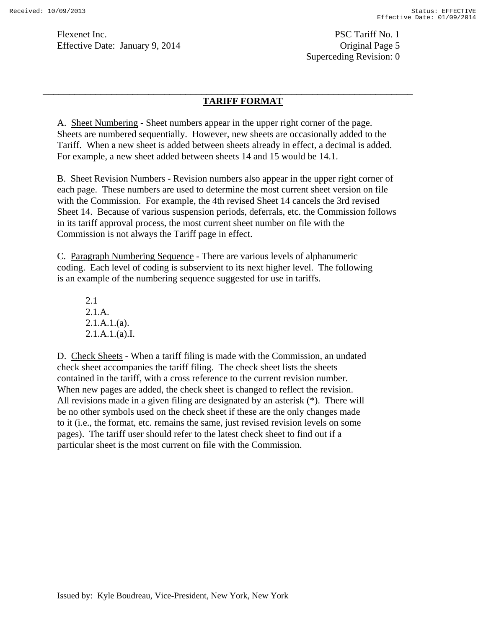Superceding Revision: 0

## **TARIFF FORMAT**

A. Sheet Numbering - Sheet numbers appear in the upper right corner of the page. Sheets are numbered sequentially. However, new sheets are occasionally added to the Tariff. When a new sheet is added between sheets already in effect, a decimal is added. For example, a new sheet added between sheets 14 and 15 would be 14.1.

\_\_\_\_\_\_\_\_\_\_\_\_\_\_\_\_\_\_\_\_\_\_\_\_\_\_\_\_\_\_\_\_\_\_\_\_\_\_\_\_\_\_\_\_\_\_\_\_\_\_\_\_\_\_\_\_\_\_\_\_\_\_\_\_\_\_\_\_\_\_

B. Sheet Revision Numbers - Revision numbers also appear in the upper right corner of each page. These numbers are used to determine the most current sheet version on file with the Commission. For example, the 4th revised Sheet 14 cancels the 3rd revised Sheet 14. Because of various suspension periods, deferrals, etc. the Commission follows in its tariff approval process, the most current sheet number on file with the Commission is not always the Tariff page in effect.

C. Paragraph Numbering Sequence - There are various levels of alphanumeric coding. Each level of coding is subservient to its next higher level. The following is an example of the numbering sequence suggested for use in tariffs.

2.1 2.1.A.  $2.1.A.1.(a)$ . 2.1.A.1.(a).I.

D. Check Sheets - When a tariff filing is made with the Commission, an undated check sheet accompanies the tariff filing. The check sheet lists the sheets contained in the tariff, with a cross reference to the current revision number. When new pages are added, the check sheet is changed to reflect the revision. All revisions made in a given filing are designated by an asterisk (\*). There will be no other symbols used on the check sheet if these are the only changes made to it (i.e., the format, etc. remains the same, just revised revision levels on some pages). The tariff user should refer to the latest check sheet to find out if a particular sheet is the most current on file with the Commission.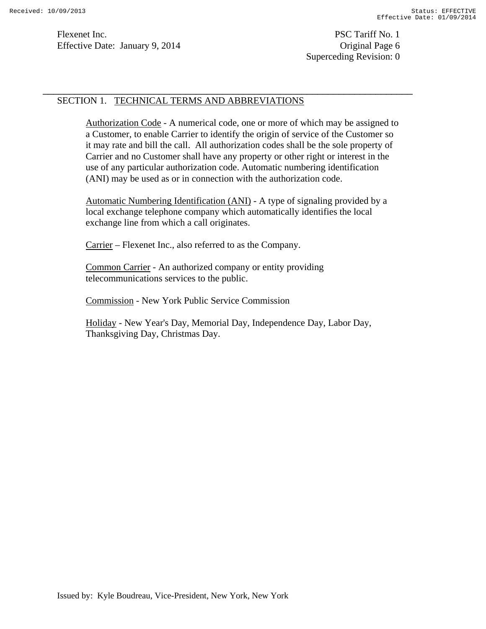## SECTION 1. TECHNICAL TERMS AND ABBREVIATIONS

Authorization Code - A numerical code, one or more of which may be assigned to a Customer, to enable Carrier to identify the origin of service of the Customer so it may rate and bill the call. All authorization codes shall be the sole property of Carrier and no Customer shall have any property or other right or interest in the use of any particular authorization code. Automatic numbering identification (ANI) may be used as or in connection with the authorization code.

\_\_\_\_\_\_\_\_\_\_\_\_\_\_\_\_\_\_\_\_\_\_\_\_\_\_\_\_\_\_\_\_\_\_\_\_\_\_\_\_\_\_\_\_\_\_\_\_\_\_\_\_\_\_\_\_\_\_\_\_\_\_\_\_\_\_\_\_\_\_

Automatic Numbering Identification (ANI) - A type of signaling provided by a local exchange telephone company which automatically identifies the local exchange line from which a call originates.

Carrier – Flexenet Inc., also referred to as the Company.

Common Carrier - An authorized company or entity providing telecommunications services to the public.

Commission - New York Public Service Commission

Holiday - New Year's Day, Memorial Day, Independence Day, Labor Day, Thanksgiving Day, Christmas Day.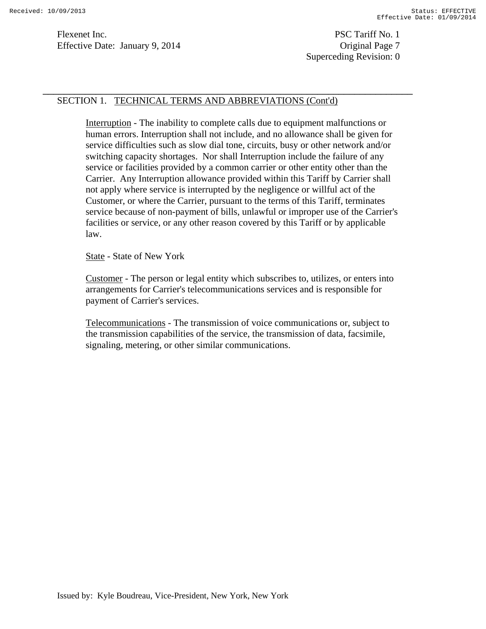Superceding Revision: 0

### SECTION 1. TECHNICAL TERMS AND ABBREVIATIONS (Cont'd)

Interruption - The inability to complete calls due to equipment malfunctions or human errors. Interruption shall not include, and no allowance shall be given for service difficulties such as slow dial tone, circuits, busy or other network and/or switching capacity shortages. Nor shall Interruption include the failure of any service or facilities provided by a common carrier or other entity other than the Carrier. Any Interruption allowance provided within this Tariff by Carrier shall not apply where service is interrupted by the negligence or willful act of the Customer, or where the Carrier, pursuant to the terms of this Tariff, terminates service because of non-payment of bills, unlawful or improper use of the Carrier's facilities or service, or any other reason covered by this Tariff or by applicable law.

\_\_\_\_\_\_\_\_\_\_\_\_\_\_\_\_\_\_\_\_\_\_\_\_\_\_\_\_\_\_\_\_\_\_\_\_\_\_\_\_\_\_\_\_\_\_\_\_\_\_\_\_\_\_\_\_\_\_\_\_\_\_\_\_\_\_\_\_\_\_

State - State of New York

Customer - The person or legal entity which subscribes to, utilizes, or enters into arrangements for Carrier's telecommunications services and is responsible for payment of Carrier's services.

Telecommunications - The transmission of voice communications or, subject to the transmission capabilities of the service, the transmission of data, facsimile, signaling, metering, or other similar communications.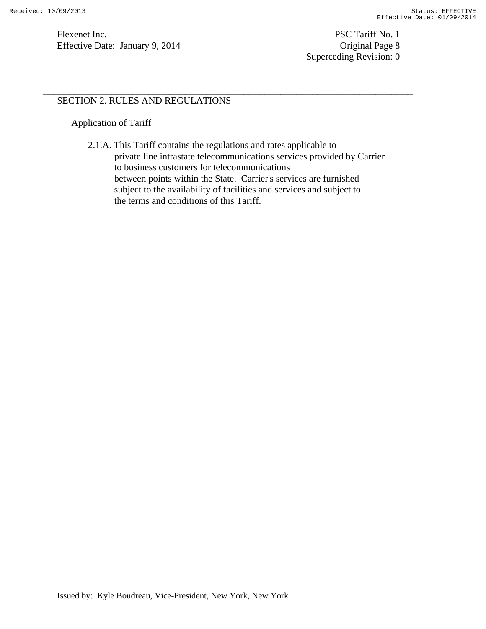Flexenet Inc. PSC Tariff No. 1 Effective Date: January 9, 2014 Contract Contract Contract Contract Contract Contract Contract Contract Contract Contract Contract Contract Contract Contract Contract Contrac

# SECTION 2. RULES AND REGULATIONS

## Application of Tariff

 2.1.A. This Tariff contains the regulations and rates applicable to private line intrastate telecommunications services provided by Carrier to business customers for telecommunications between points within the State. Carrier's services are furnished subject to the availability of facilities and services and subject to the terms and conditions of this Tariff.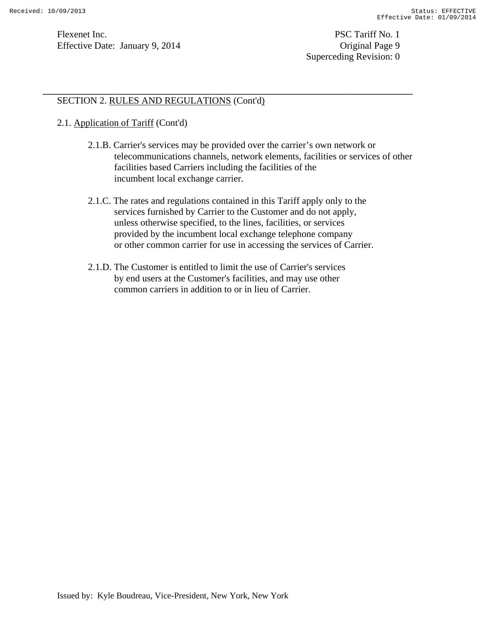Flexenet Inc. PSC Tariff No. 1 Effective Date: January 9, 2014 Quiet Base 9

Superceding Revision: 0

## SECTION 2. RULES AND REGULATIONS (Cont'd)

## 2.1. Application of Tariff (Cont'd)

- 2.1.B. Carrier's services may be provided over the carrier's own network or telecommunications channels, network elements, facilities or services of other facilities based Carriers including the facilities of the incumbent local exchange carrier.
- 2.1.C. The rates and regulations contained in this Tariff apply only to the services furnished by Carrier to the Customer and do not apply, unless otherwise specified, to the lines, facilities, or services provided by the incumbent local exchange telephone company or other common carrier for use in accessing the services of Carrier.

\_\_\_\_\_\_\_\_\_\_\_\_\_\_\_\_\_\_\_\_\_\_\_\_\_\_\_\_\_\_\_\_\_\_\_\_\_\_\_\_\_\_\_\_\_\_\_\_\_\_\_\_\_\_\_\_\_\_\_\_\_\_\_\_\_\_\_\_\_\_

 2.1.D. The Customer is entitled to limit the use of Carrier's services by end users at the Customer's facilities, and may use other common carriers in addition to or in lieu of Carrier.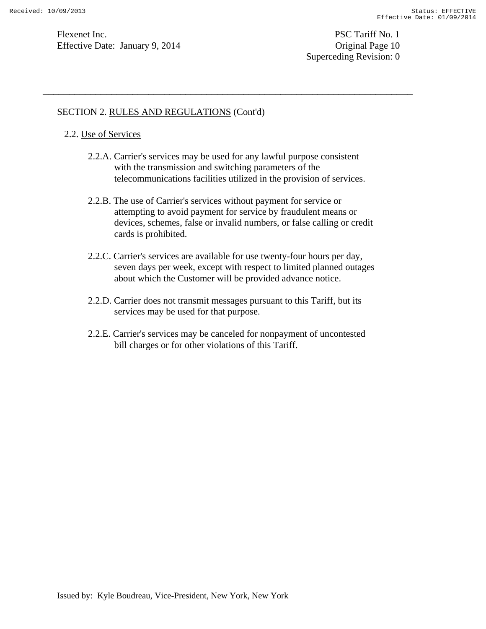Superceding Revision: 0

## SECTION 2. RULES AND REGULATIONS (Cont'd)

### 2.2. Use of Services

 2.2.A. Carrier's services may be used for any lawful purpose consistent with the transmission and switching parameters of the telecommunications facilities utilized in the provision of services.

- 2.2.B. The use of Carrier's services without payment for service or attempting to avoid payment for service by fraudulent means or devices, schemes, false or invalid numbers, or false calling or credit cards is prohibited.
- 2.2.C. Carrier's services are available for use twenty-four hours per day, seven days per week, except with respect to limited planned outages about which the Customer will be provided advance notice.
- 2.2.D. Carrier does not transmit messages pursuant to this Tariff, but its services may be used for that purpose.
- 2.2.E. Carrier's services may be canceled for nonpayment of uncontested bill charges or for other violations of this Tariff.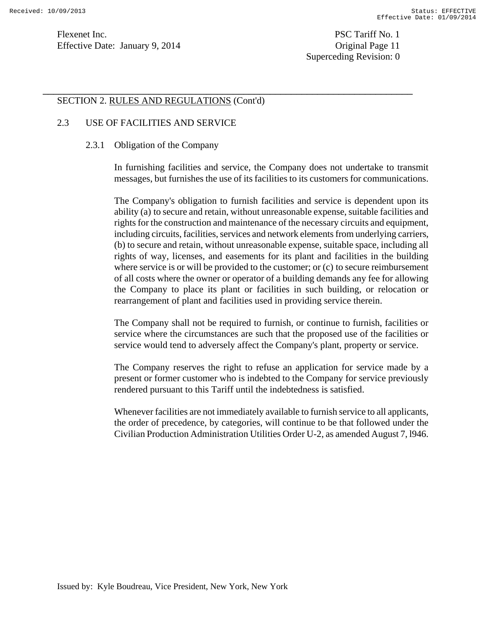Flexenet Inc. PSC Tariff No. 1 Effective Date: January 9, 2014 Queense Service Driginal Page 11

Superceding Revision: 0

## SECTION 2. RULES AND REGULATIONS (Cont'd)

### 2.3 USE OF FACILITIES AND SERVICE

#### 2.3.1 Obligation of the Company

In furnishing facilities and service, the Company does not undertake to transmit messages, but furnishes the use of its facilities to its customers for communications.

\_\_\_\_\_\_\_\_\_\_\_\_\_\_\_\_\_\_\_\_\_\_\_\_\_\_\_\_\_\_\_\_\_\_\_\_\_\_\_\_\_\_\_\_\_\_\_\_\_\_\_\_\_\_\_\_\_\_\_\_\_\_\_\_\_\_\_\_\_\_

The Company's obligation to furnish facilities and service is dependent upon its ability (a) to secure and retain, without unreasonable expense, suitable facilities and rights for the construction and maintenance of the necessary circuits and equipment, including circuits, facilities, services and network elements from underlying carriers, (b) to secure and retain, without unreasonable expense, suitable space, including all rights of way, licenses, and easements for its plant and facilities in the building where service is or will be provided to the customer; or (c) to secure reimbursement of all costs where the owner or operator of a building demands any fee for allowing the Company to place its plant or facilities in such building, or relocation or rearrangement of plant and facilities used in providing service therein.

The Company shall not be required to furnish, or continue to furnish, facilities or service where the circumstances are such that the proposed use of the facilities or service would tend to adversely affect the Company's plant, property or service.

The Company reserves the right to refuse an application for service made by a present or former customer who is indebted to the Company for service previously rendered pursuant to this Tariff until the indebtedness is satisfied.

Whenever facilities are not immediately available to furnish service to all applicants, the order of precedence, by categories, will continue to be that followed under the Civilian Production Administration Utilities Order U-2, as amended August 7, l946.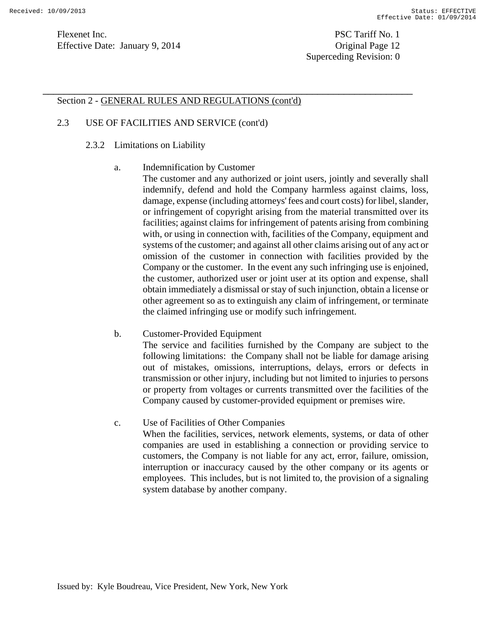### Section 2 - GENERAL RULES AND REGULATIONS (cont'd)

\_\_\_\_\_\_\_\_\_\_\_\_\_\_\_\_\_\_\_\_\_\_\_\_\_\_\_\_\_\_\_\_\_\_\_\_\_\_\_\_\_\_\_\_\_\_\_\_\_\_\_\_\_\_\_\_\_\_\_\_\_\_\_\_\_\_\_\_\_\_

### 2.3 USE OF FACILITIES AND SERVICE (cont'd)

### 2.3.2 Limitations on Liability

### a. Indemnification by Customer

The customer and any authorized or joint users, jointly and severally shall indemnify, defend and hold the Company harmless against claims, loss, damage, expense (including attorneys' fees and court costs) for libel, slander, or infringement of copyright arising from the material transmitted over its facilities; against claims for infringement of patents arising from combining with, or using in connection with, facilities of the Company, equipment and systems of the customer; and against all other claims arising out of any act or omission of the customer in connection with facilities provided by the Company or the customer. In the event any such infringing use is enjoined, the customer, authorized user or joint user at its option and expense, shall obtain immediately a dismissal or stay of such injunction, obtain a license or other agreement so as to extinguish any claim of infringement, or terminate the claimed infringing use or modify such infringement.

### b. Customer-Provided Equipment

The service and facilities furnished by the Company are subject to the following limitations: the Company shall not be liable for damage arising out of mistakes, omissions, interruptions, delays, errors or defects in transmission or other injury, including but not limited to injuries to persons or property from voltages or currents transmitted over the facilities of the Company caused by customer-provided equipment or premises wire.

### c. Use of Facilities of Other Companies

When the facilities, services, network elements, systems, or data of other companies are used in establishing a connection or providing service to customers, the Company is not liable for any act, error, failure, omission, interruption or inaccuracy caused by the other company or its agents or employees. This includes, but is not limited to, the provision of a signaling system database by another company.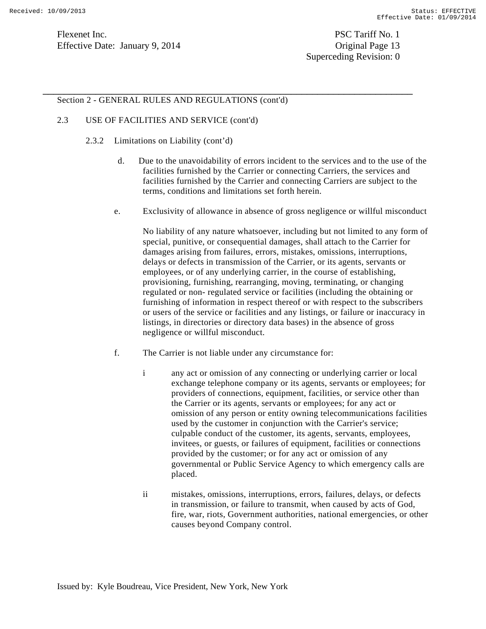Superceding Revision: 0

### Section 2 - GENERAL RULES AND REGULATIONS (cont'd)

### 2.3 USE OF FACILITIES AND SERVICE (cont'd)

- 2.3.2 Limitations on Liability (cont'd)
	- d. Due to the unavoidability of errors incident to the services and to the use of the facilities furnished by the Carrier or connecting Carriers, the services and facilities furnished by the Carrier and connecting Carriers are subject to the terms, conditions and limitations set forth herein.
	- e. Exclusivity of allowance in absence of gross negligence or willful misconduct

No liability of any nature whatsoever, including but not limited to any form of special, punitive, or consequential damages, shall attach to the Carrier for damages arising from failures, errors, mistakes, omissions, interruptions, delays or defects in transmission of the Carrier, or its agents, servants or employees, or of any underlying carrier, in the course of establishing, provisioning, furnishing, rearranging, moving, terminating, or changing regulated or non- regulated service or facilities (including the obtaining or furnishing of information in respect thereof or with respect to the subscribers or users of the service or facilities and any listings, or failure or inaccuracy in listings, in directories or directory data bases) in the absence of gross negligence or willful misconduct.

f. The Carrier is not liable under any circumstance for:

- i any act or omission of any connecting or underlying carrier or local exchange telephone company or its agents, servants or employees; for providers of connections, equipment, facilities, or service other than the Carrier or its agents, servants or employees; for any act or omission of any person or entity owning telecommunications facilities used by the customer in conjunction with the Carrier's service; culpable conduct of the customer, its agents, servants, employees, invitees, or guests, or failures of equipment, facilities or connections provided by the customer; or for any act or omission of any governmental or Public Service Agency to which emergency calls are placed.
- ii mistakes, omissions, interruptions, errors, failures, delays, or defects in transmission, or failure to transmit, when caused by acts of God, fire, war, riots, Government authorities, national emergencies, or other causes beyond Company control.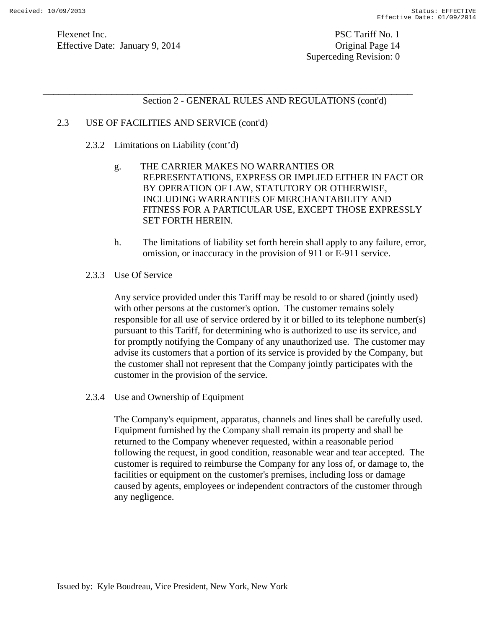### Section 2 - GENERAL RULES AND REGULATIONS (cont'd)

\_\_\_\_\_\_\_\_\_\_\_\_\_\_\_\_\_\_\_\_\_\_\_\_\_\_\_\_\_\_\_\_\_\_\_\_\_\_\_\_\_\_\_\_\_\_\_\_\_\_\_\_\_\_\_\_\_\_\_\_\_\_\_\_\_\_\_\_\_\_

## 2.3 USE OF FACILITIES AND SERVICE (cont'd)

- 2.3.2 Limitations on Liability (cont'd)
	- g. THE CARRIER MAKES NO WARRANTIES OR REPRESENTATIONS, EXPRESS OR IMPLIED EITHER IN FACT OR BY OPERATION OF LAW, STATUTORY OR OTHERWISE, INCLUDING WARRANTIES OF MERCHANTABILITY AND FITNESS FOR A PARTICULAR USE, EXCEPT THOSE EXPRESSLY SET FORTH HEREIN.
	- h. The limitations of liability set forth herein shall apply to any failure, error, omission, or inaccuracy in the provision of 911 or E-911 service.
- 2.3.3 Use Of Service

Any service provided under this Tariff may be resold to or shared (jointly used) with other persons at the customer's option. The customer remains solely responsible for all use of service ordered by it or billed to its telephone number(s) pursuant to this Tariff, for determining who is authorized to use its service, and for promptly notifying the Company of any unauthorized use. The customer may advise its customers that a portion of its service is provided by the Company, but the customer shall not represent that the Company jointly participates with the customer in the provision of the service.

2.3.4 Use and Ownership of Equipment

The Company's equipment, apparatus, channels and lines shall be carefully used. Equipment furnished by the Company shall remain its property and shall be returned to the Company whenever requested, within a reasonable period following the request, in good condition, reasonable wear and tear accepted. The customer is required to reimburse the Company for any loss of, or damage to, the facilities or equipment on the customer's premises, including loss or damage caused by agents, employees or independent contractors of the customer through any negligence.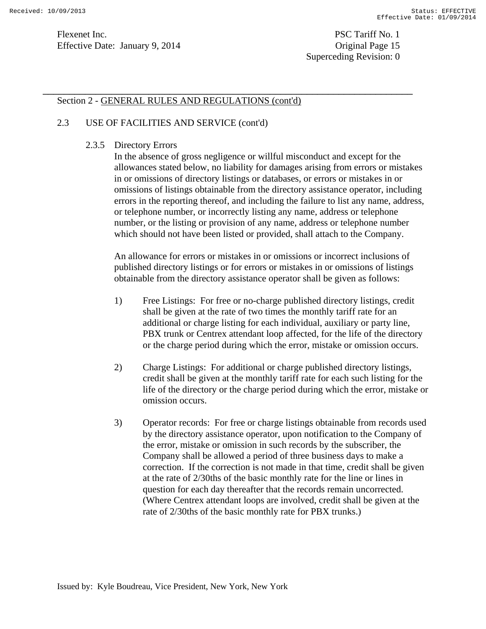Superceding Revision: 0

### Section 2 - GENERAL RULES AND REGULATIONS (cont'd)

\_\_\_\_\_\_\_\_\_\_\_\_\_\_\_\_\_\_\_\_\_\_\_\_\_\_\_\_\_\_\_\_\_\_\_\_\_\_\_\_\_\_\_\_\_\_\_\_\_\_\_\_\_\_\_\_\_\_\_\_\_\_\_\_\_\_\_\_\_\_

### 2.3 USE OF FACILITIES AND SERVICE (cont'd)

### 2.3.5 Directory Errors

In the absence of gross negligence or willful misconduct and except for the allowances stated below, no liability for damages arising from errors or mistakes in or omissions of directory listings or databases, or errors or mistakes in or omissions of listings obtainable from the directory assistance operator, including errors in the reporting thereof, and including the failure to list any name, address, or telephone number, or incorrectly listing any name, address or telephone number, or the listing or provision of any name, address or telephone number which should not have been listed or provided, shall attach to the Company.

An allowance for errors or mistakes in or omissions or incorrect inclusions of published directory listings or for errors or mistakes in or omissions of listings obtainable from the directory assistance operator shall be given as follows:

- 1) Free Listings: For free or no-charge published directory listings, credit shall be given at the rate of two times the monthly tariff rate for an additional or charge listing for each individual, auxiliary or party line, PBX trunk or Centrex attendant loop affected, for the life of the directory or the charge period during which the error, mistake or omission occurs.
- 2) Charge Listings: For additional or charge published directory listings, credit shall be given at the monthly tariff rate for each such listing for the life of the directory or the charge period during which the error, mistake or omission occurs.
- 3) Operator records: For free or charge listings obtainable from records used by the directory assistance operator, upon notification to the Company of the error, mistake or omission in such records by the subscriber, the Company shall be allowed a period of three business days to make a correction. If the correction is not made in that time, credit shall be given at the rate of 2/30ths of the basic monthly rate for the line or lines in question for each day thereafter that the records remain uncorrected. (Where Centrex attendant loops are involved, credit shall be given at the rate of 2/30ths of the basic monthly rate for PBX trunks.)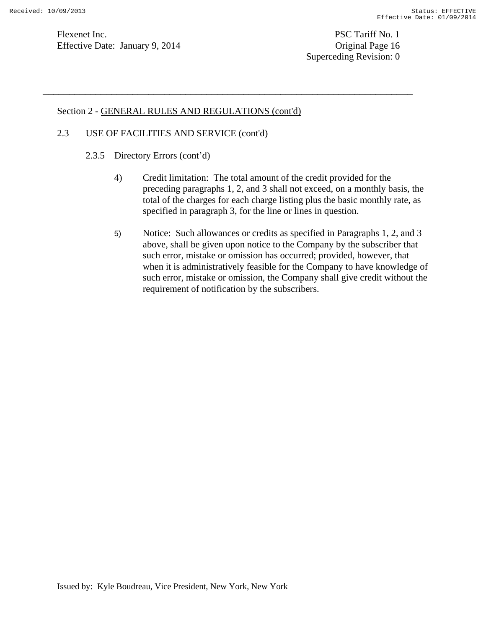Flexenet Inc. PSC Tariff No. 1 Effective Date: January 9, 2014 Contract Contract Contract Contract Contract Contract Contract Contract Contract Contract Contract Contract Contract Contract Contract Contrac

Superceding Revision: 0

## Section 2 - GENERAL RULES AND REGULATIONS (cont'd)

\_\_\_\_\_\_\_\_\_\_\_\_\_\_\_\_\_\_\_\_\_\_\_\_\_\_\_\_\_\_\_\_\_\_\_\_\_\_\_\_\_\_\_\_\_\_\_\_\_\_\_\_\_\_\_\_\_\_\_\_\_\_\_\_\_\_\_\_\_\_

## 2.3 USE OF FACILITIES AND SERVICE (cont'd)

- 2.3.5 Directory Errors (cont'd)
	- 4) Credit limitation: The total amount of the credit provided for the preceding paragraphs 1, 2, and 3 shall not exceed, on a monthly basis, the total of the charges for each charge listing plus the basic monthly rate, as specified in paragraph 3, for the line or lines in question.
	- 5) Notice: Such allowances or credits as specified in Paragraphs 1, 2, and 3 above, shall be given upon notice to the Company by the subscriber that such error, mistake or omission has occurred; provided, however, that when it is administratively feasible for the Company to have knowledge of such error, mistake or omission, the Company shall give credit without the requirement of notification by the subscribers.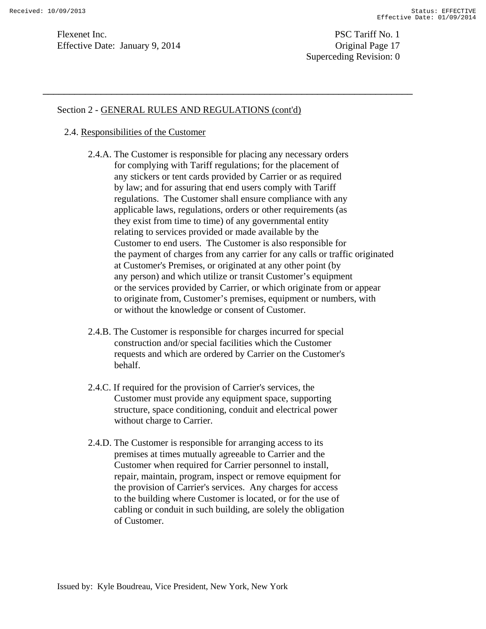Superceding Revision: 0

### Section 2 - GENERAL RULES AND REGULATIONS (cont'd)

### 2.4. Responsibilities of the Customer

 2.4.A. The Customer is responsible for placing any necessary orders for complying with Tariff regulations; for the placement of any stickers or tent cards provided by Carrier or as required by law; and for assuring that end users comply with Tariff regulations. The Customer shall ensure compliance with any applicable laws, regulations, orders or other requirements (as they exist from time to time) of any governmental entity relating to services provided or made available by the Customer to end users. The Customer is also responsible for the payment of charges from any carrier for any calls or traffic originated at Customer's Premises, or originated at any other point (by any person) and which utilize or transit Customer's equipment or the services provided by Carrier, or which originate from or appear to originate from, Customer's premises, equipment or numbers, with or without the knowledge or consent of Customer.

- 2.4.B. The Customer is responsible for charges incurred for special construction and/or special facilities which the Customer requests and which are ordered by Carrier on the Customer's behalf.
- 2.4.C. If required for the provision of Carrier's services, the Customer must provide any equipment space, supporting structure, space conditioning, conduit and electrical power without charge to Carrier.
- 2.4.D. The Customer is responsible for arranging access to its premises at times mutually agreeable to Carrier and the Customer when required for Carrier personnel to install, repair, maintain, program, inspect or remove equipment for the provision of Carrier's services. Any charges for access to the building where Customer is located, or for the use of cabling or conduit in such building, are solely the obligation of Customer.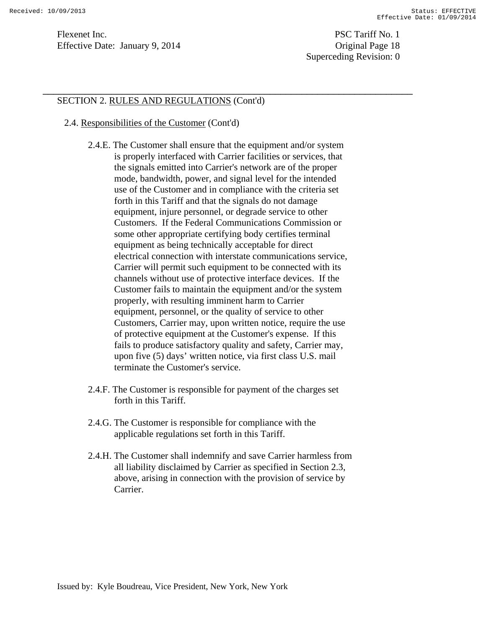Superceding Revision: 0

## SECTION 2. RULES AND REGULATIONS (Cont'd)

### 2.4. Responsibilities of the Customer (Cont'd)

 2.4.E. The Customer shall ensure that the equipment and/or system is properly interfaced with Carrier facilities or services, that the signals emitted into Carrier's network are of the proper mode, bandwidth, power, and signal level for the intended use of the Customer and in compliance with the criteria set forth in this Tariff and that the signals do not damage equipment, injure personnel, or degrade service to other Customers. If the Federal Communications Commission or some other appropriate certifying body certifies terminal equipment as being technically acceptable for direct electrical connection with interstate communications service, Carrier will permit such equipment to be connected with its channels without use of protective interface devices. If the Customer fails to maintain the equipment and/or the system properly, with resulting imminent harm to Carrier equipment, personnel, or the quality of service to other Customers, Carrier may, upon written notice, require the use of protective equipment at the Customer's expense. If this fails to produce satisfactory quality and safety, Carrier may, upon five (5) days' written notice, via first class U.S. mail terminate the Customer's service.

- 2.4.F. The Customer is responsible for payment of the charges set forth in this Tariff.
- 2.4.G. The Customer is responsible for compliance with the applicable regulations set forth in this Tariff.
- 2.4.H. The Customer shall indemnify and save Carrier harmless from all liability disclaimed by Carrier as specified in Section 2.3, above, arising in connection with the provision of service by Carrier.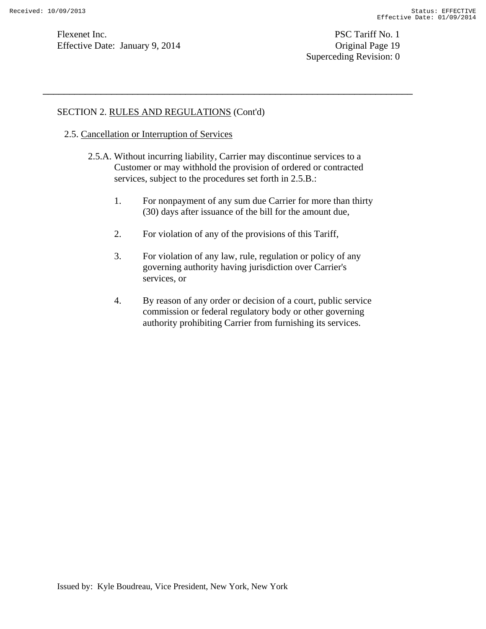Flexenet Inc. PSC Tariff No. 1 Effective Date: January 9, 2014 Greenbury 19, 2014 Greenbury 19, 2014 Greenbury 19, 2014 Greenbury 19, 2014 Greenbury 19, 2014 Greenbury 19, 2014 Greenbury 19, 2014 Greenbury 19, 2014 Greenbury 1

Superceding Revision: 0

## SECTION 2. RULES AND REGULATIONS (Cont'd)

- 2.5. Cancellation or Interruption of Services
	- 2.5.A. Without incurring liability, Carrier may discontinue services to a Customer or may withhold the provision of ordered or contracted services, subject to the procedures set forth in 2.5.B.:

- 1. For nonpayment of any sum due Carrier for more than thirty (30) days after issuance of the bill for the amount due,
- 2. For violation of any of the provisions of this Tariff,
- 3. For violation of any law, rule, regulation or policy of any governing authority having jurisdiction over Carrier's services, or
- 4. By reason of any order or decision of a court, public service commission or federal regulatory body or other governing authority prohibiting Carrier from furnishing its services.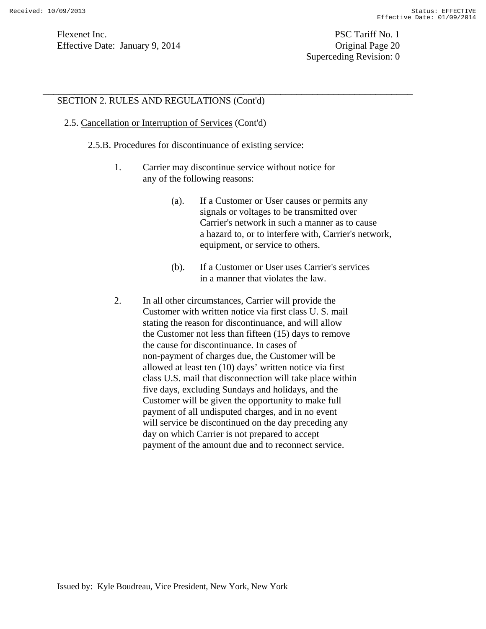Superceding Revision: 0

## SECTION 2. RULES AND REGULATIONS (Cont'd)

### 2.5. Cancellation or Interruption of Services (Cont'd)

- 2.5.B. Procedures for discontinuance of existing service:
	- 1. Carrier may discontinue service without notice for any of the following reasons:

- (a). If a Customer or User causes or permits any signals or voltages to be transmitted over Carrier's network in such a manner as to cause a hazard to, or to interfere with, Carrier's network, equipment, or service to others.
- (b). If a Customer or User uses Carrier's services in a manner that violates the law.
- 2. In all other circumstances, Carrier will provide the Customer with written notice via first class U. S. mail stating the reason for discontinuance, and will allow the Customer not less than fifteen (15) days to remove the cause for discontinuance. In cases of non-payment of charges due, the Customer will be allowed at least ten (10) days' written notice via first class U.S. mail that disconnection will take place within five days, excluding Sundays and holidays, and the Customer will be given the opportunity to make full payment of all undisputed charges, and in no event will service be discontinued on the day preceding any day on which Carrier is not prepared to accept payment of the amount due and to reconnect service.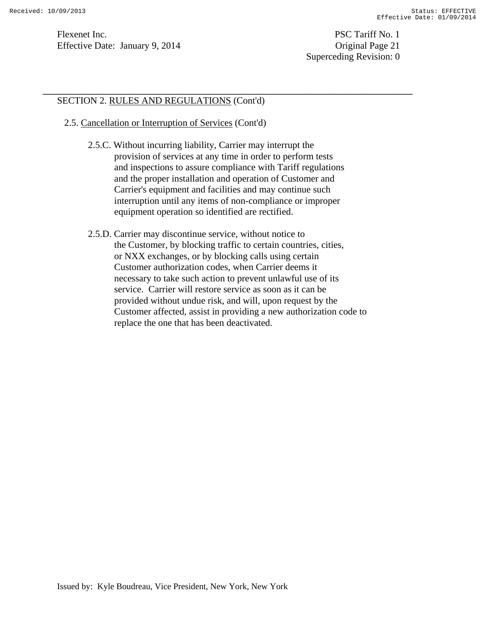Superceding Revision: 0

## SECTION 2. RULES AND REGULATIONS (Cont'd)

- 2.5. Cancellation or Interruption of Services (Cont'd)
	- 2.5.C. Without incurring liability, Carrier may interrupt the provision of services at any time in order to perform tests and inspections to assure compliance with Tariff regulations and the proper installation and operation of Customer and Carrier's equipment and facilities and may continue such interruption until any items of non-compliance or improper equipment operation so identified are rectified.

\_\_\_\_\_\_\_\_\_\_\_\_\_\_\_\_\_\_\_\_\_\_\_\_\_\_\_\_\_\_\_\_\_\_\_\_\_\_\_\_\_\_\_\_\_\_\_\_\_\_\_\_\_\_\_\_\_\_\_\_\_\_\_\_\_\_\_\_\_\_

 2.5.D. Carrier may discontinue service, without notice to the Customer, by blocking traffic to certain countries, cities, or NXX exchanges, or by blocking calls using certain Customer authorization codes, when Carrier deems it necessary to take such action to prevent unlawful use of its service. Carrier will restore service as soon as it can be provided without undue risk, and will, upon request by the Customer affected, assist in providing a new authorization code to replace the one that has been deactivated.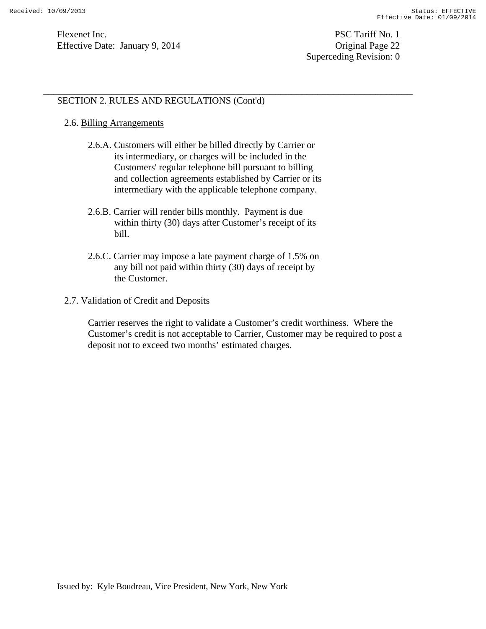Flexenet Inc. PSC Tariff No. 1 Effective Date: January 9, 2014 Contract Contract Contract Contract Contract Contract Contract Contract Contract Contract Contract Contract Contract Contract Contract Contrac

Superceding Revision: 0

## SECTION 2. RULES AND REGULATIONS (Cont'd)

### 2.6. Billing Arrangements

 2.6.A. Customers will either be billed directly by Carrier or its intermediary, or charges will be included in the Customers' regular telephone bill pursuant to billing and collection agreements established by Carrier or its intermediary with the applicable telephone company.

\_\_\_\_\_\_\_\_\_\_\_\_\_\_\_\_\_\_\_\_\_\_\_\_\_\_\_\_\_\_\_\_\_\_\_\_\_\_\_\_\_\_\_\_\_\_\_\_\_\_\_\_\_\_\_\_\_\_\_\_\_\_\_\_\_\_\_\_\_\_

- 2.6.B. Carrier will render bills monthly. Payment is due within thirty (30) days after Customer's receipt of its bill.
- 2.6.C. Carrier may impose a late payment charge of 1.5% on any bill not paid within thirty (30) days of receipt by the Customer.

### 2.7. Validation of Credit and Deposits

 Carrier reserves the right to validate a Customer's credit worthiness. Where the Customer's credit is not acceptable to Carrier, Customer may be required to post a deposit not to exceed two months' estimated charges.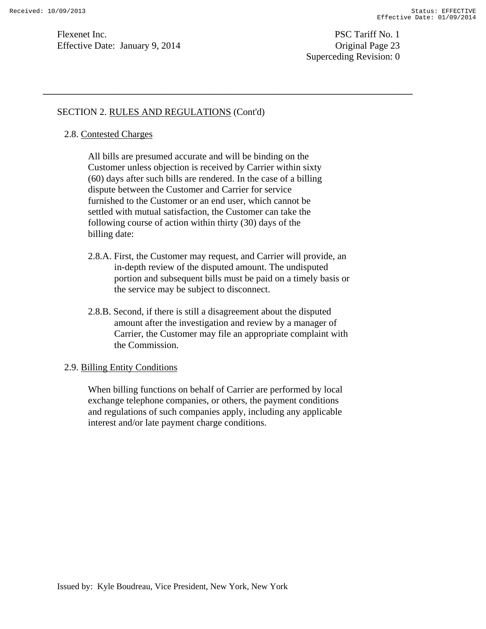Superceding Revision: 0

### SECTION 2. RULES AND REGULATIONS (Cont'd)

### 2.8. Contested Charges

 All bills are presumed accurate and will be binding on the Customer unless objection is received by Carrier within sixty (60) days after such bills are rendered. In the case of a billing dispute between the Customer and Carrier for service furnished to the Customer or an end user, which cannot be settled with mutual satisfaction, the Customer can take the following course of action within thirty (30) days of the billing date:

\_\_\_\_\_\_\_\_\_\_\_\_\_\_\_\_\_\_\_\_\_\_\_\_\_\_\_\_\_\_\_\_\_\_\_\_\_\_\_\_\_\_\_\_\_\_\_\_\_\_\_\_\_\_\_\_\_\_\_\_\_\_\_\_\_\_\_\_\_\_

- 2.8.A. First, the Customer may request, and Carrier will provide, an in-depth review of the disputed amount. The undisputed portion and subsequent bills must be paid on a timely basis or the service may be subject to disconnect.
- 2.8.B. Second, if there is still a disagreement about the disputed amount after the investigation and review by a manager of Carrier, the Customer may file an appropriate complaint with the Commission.

### 2.9. Billing Entity Conditions

 When billing functions on behalf of Carrier are performed by local exchange telephone companies, or others, the payment conditions and regulations of such companies apply, including any applicable interest and/or late payment charge conditions.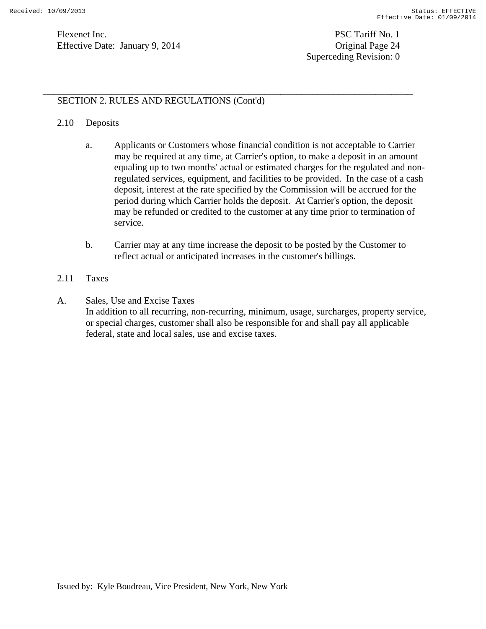## SECTION 2. RULES AND REGULATIONS (Cont'd)

### 2.10 Deposits

a. Applicants or Customers whose financial condition is not acceptable to Carrier may be required at any time, at Carrier's option, to make a deposit in an amount equaling up to two months' actual or estimated charges for the regulated and nonregulated services, equipment, and facilities to be provided. In the case of a cash deposit, interest at the rate specified by the Commission will be accrued for the period during which Carrier holds the deposit. At Carrier's option, the deposit may be refunded or credited to the customer at any time prior to termination of service.

\_\_\_\_\_\_\_\_\_\_\_\_\_\_\_\_\_\_\_\_\_\_\_\_\_\_\_\_\_\_\_\_\_\_\_\_\_\_\_\_\_\_\_\_\_\_\_\_\_\_\_\_\_\_\_\_\_\_\_\_\_\_\_\_\_\_\_\_\_\_

- b. Carrier may at any time increase the deposit to be posted by the Customer to reflect actual or anticipated increases in the customer's billings.
- 2.11 Taxes
- A. Sales, Use and Excise Taxes

In addition to all recurring, non-recurring, minimum, usage, surcharges, property service, or special charges, customer shall also be responsible for and shall pay all applicable federal, state and local sales, use and excise taxes.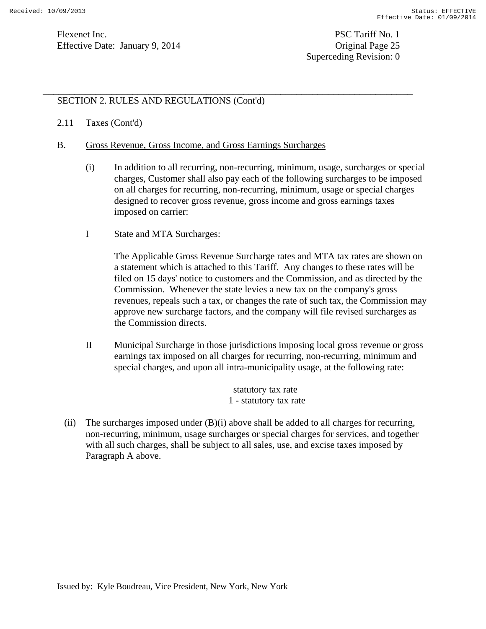# SECTION 2. RULES AND REGULATIONS (Cont'd)

### 2.11 Taxes (Cont'd)

- B. Gross Revenue, Gross Income, and Gross Earnings Surcharges
	- (i) In addition to all recurring, non-recurring, minimum, usage, surcharges or special charges, Customer shall also pay each of the following surcharges to be imposed on all charges for recurring, non-recurring, minimum, usage or special charges designed to recover gross revenue, gross income and gross earnings taxes imposed on carrier:

\_\_\_\_\_\_\_\_\_\_\_\_\_\_\_\_\_\_\_\_\_\_\_\_\_\_\_\_\_\_\_\_\_\_\_\_\_\_\_\_\_\_\_\_\_\_\_\_\_\_\_\_\_\_\_\_\_\_\_\_\_\_\_\_\_\_\_\_\_\_

I State and MTA Surcharges:

The Applicable Gross Revenue Surcharge rates and MTA tax rates are shown on a statement which is attached to this Tariff. Any changes to these rates will be filed on 15 days' notice to customers and the Commission, and as directed by the Commission. Whenever the state levies a new tax on the company's gross revenues, repeals such a tax, or changes the rate of such tax, the Commission may approve new surcharge factors, and the company will file revised surcharges as the Commission directs.

II Municipal Surcharge in those jurisdictions imposing local gross revenue or gross earnings tax imposed on all charges for recurring, non-recurring, minimum and special charges, and upon all intra-municipality usage, at the following rate:

> statutory tax rate 1 - statutory tax rate

(ii) The surcharges imposed under  $(B)(i)$  above shall be added to all charges for recurring, non-recurring, minimum, usage surcharges or special charges for services, and together with all such charges, shall be subject to all sales, use, and excise taxes imposed by Paragraph A above.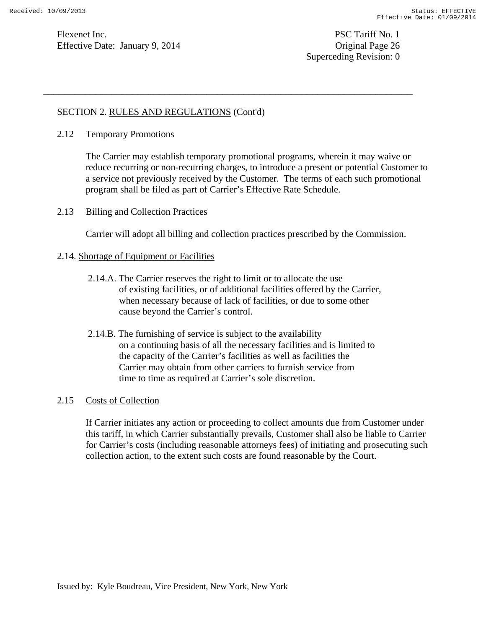Superceding Revision: 0

## SECTION 2. RULES AND REGULATIONS (Cont'd)

2.12 Temporary Promotions

The Carrier may establish temporary promotional programs, wherein it may waive or reduce recurring or non-recurring charges, to introduce a present or potential Customer to a service not previously received by the Customer. The terms of each such promotional program shall be filed as part of Carrier's Effective Rate Schedule.

\_\_\_\_\_\_\_\_\_\_\_\_\_\_\_\_\_\_\_\_\_\_\_\_\_\_\_\_\_\_\_\_\_\_\_\_\_\_\_\_\_\_\_\_\_\_\_\_\_\_\_\_\_\_\_\_\_\_\_\_\_\_\_\_\_\_\_\_\_\_

2.13 Billing and Collection Practices

Carrier will adopt all billing and collection practices prescribed by the Commission.

### 2.14. Shortage of Equipment or Facilities

- 2.14.A. The Carrier reserves the right to limit or to allocate the use of existing facilities, or of additional facilities offered by the Carrier, when necessary because of lack of facilities, or due to some other cause beyond the Carrier's control.
- 2.14.B. The furnishing of service is subject to the availability on a continuing basis of all the necessary facilities and is limited to the capacity of the Carrier's facilities as well as facilities the Carrier may obtain from other carriers to furnish service from time to time as required at Carrier's sole discretion.

### 2.15 Costs of Collection

If Carrier initiates any action or proceeding to collect amounts due from Customer under this tariff, in which Carrier substantially prevails, Customer shall also be liable to Carrier for Carrier's costs (including reasonable attorneys fees) of initiating and prosecuting such collection action, to the extent such costs are found reasonable by the Court.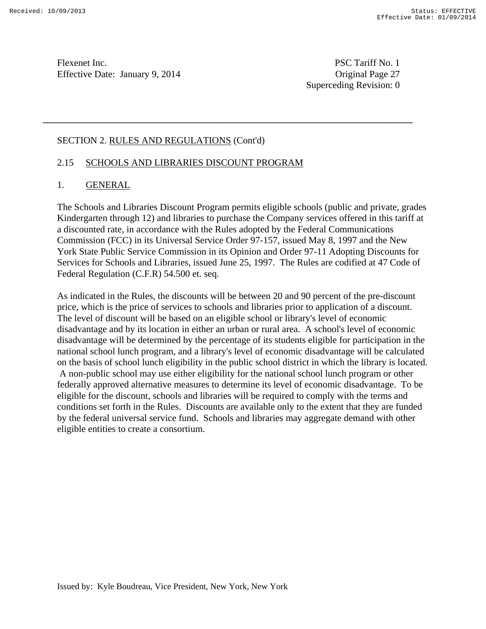Superceding Revision: 0

## SECTION 2. RULES AND REGULATIONS (Cont'd)

# 2.15 SCHOOLS AND LIBRARIES DISCOUNT PROGRAM

# 1. GENERAL

The Schools and Libraries Discount Program permits eligible schools (public and private, grades Kindergarten through 12) and libraries to purchase the Company services offered in this tariff at a discounted rate, in accordance with the Rules adopted by the Federal Communications Commission (FCC) in its Universal Service Order 97-157, issued May 8, 1997 and the New York State Public Service Commission in its Opinion and Order 97-11 Adopting Discounts for Services for Schools and Libraries, issued June 25, 1997. The Rules are codified at 47 Code of Federal Regulation (C.F.R) 54.500 et. seq.

\_\_\_\_\_\_\_\_\_\_\_\_\_\_\_\_\_\_\_\_\_\_\_\_\_\_\_\_\_\_\_\_\_\_\_\_\_\_\_\_\_\_\_\_\_\_\_\_\_\_\_\_\_\_\_\_\_\_\_\_\_\_\_\_\_\_\_\_\_\_

As indicated in the Rules, the discounts will be between 20 and 90 percent of the pre-discount price, which is the price of services to schools and libraries prior to application of a discount. The level of discount will be based on an eligible school or library's level of economic disadvantage and by its location in either an urban or rural area. A school's level of economic disadvantage will be determined by the percentage of its students eligible for participation in the national school lunch program, and a library's level of economic disadvantage will be calculated on the basis of school lunch eligibility in the public school district in which the library is located. A non-public school may use either eligibility for the national school lunch program or other federally approved alternative measures to determine its level of economic disadvantage. To be eligible for the discount, schools and libraries will be required to comply with the terms and conditions set forth in the Rules. Discounts are available only to the extent that they are funded by the federal universal service fund. Schools and libraries may aggregate demand with other eligible entities to create a consortium.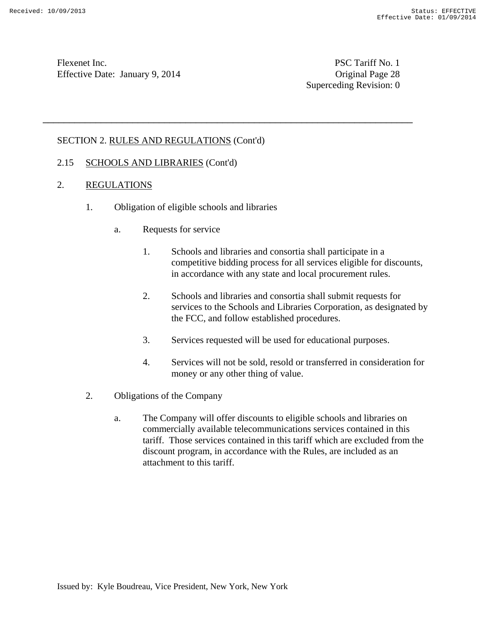Superceding Revision: 0

## SECTION 2. RULES AND REGULATIONS (Cont'd)

### 2.15 SCHOOLS AND LIBRARIES (Cont'd)

- 2. REGULATIONS
	- 1. Obligation of eligible schools and libraries

- a. Requests for service
	- 1. Schools and libraries and consortia shall participate in a competitive bidding process for all services eligible for discounts, in accordance with any state and local procurement rules.
	- 2. Schools and libraries and consortia shall submit requests for services to the Schools and Libraries Corporation, as designated by the FCC, and follow established procedures.
	- 3. Services requested will be used for educational purposes.
	- 4. Services will not be sold, resold or transferred in consideration for money or any other thing of value.
- 2. Obligations of the Company
	- a. The Company will offer discounts to eligible schools and libraries on commercially available telecommunications services contained in this tariff. Those services contained in this tariff which are excluded from the discount program, in accordance with the Rules, are included as an attachment to this tariff.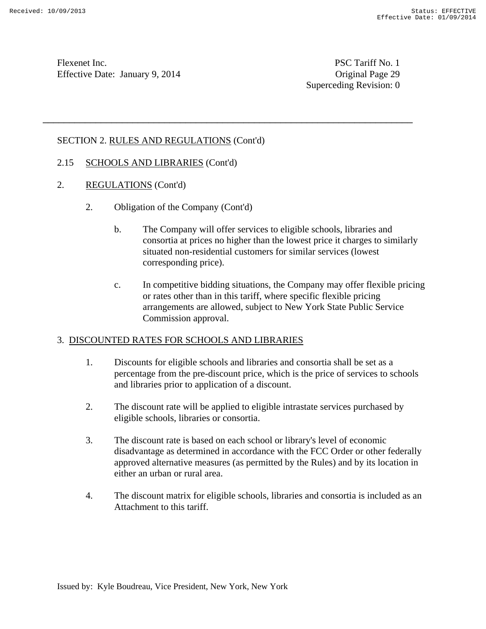Superceding Revision: 0

# SECTION 2. RULES AND REGULATIONS (Cont'd)

### 2.15 SCHOOLS AND LIBRARIES (Cont'd)

- 2. REGULATIONS (Cont'd)
	- 2. Obligation of the Company (Cont'd)
		- b. The Company will offer services to eligible schools, libraries and consortia at prices no higher than the lowest price it charges to similarly situated non-residential customers for similar services (lowest corresponding price).

\_\_\_\_\_\_\_\_\_\_\_\_\_\_\_\_\_\_\_\_\_\_\_\_\_\_\_\_\_\_\_\_\_\_\_\_\_\_\_\_\_\_\_\_\_\_\_\_\_\_\_\_\_\_\_\_\_\_\_\_\_\_\_\_\_\_\_\_\_\_

c. In competitive bidding situations, the Company may offer flexible pricing or rates other than in this tariff, where specific flexible pricing arrangements are allowed, subject to New York State Public Service Commission approval.

### 3. DISCOUNTED RATES FOR SCHOOLS AND LIBRARIES

- 1. Discounts for eligible schools and libraries and consortia shall be set as a percentage from the pre-discount price, which is the price of services to schools and libraries prior to application of a discount.
- 2. The discount rate will be applied to eligible intrastate services purchased by eligible schools, libraries or consortia.
- 3. The discount rate is based on each school or library's level of economic disadvantage as determined in accordance with the FCC Order or other federally approved alternative measures (as permitted by the Rules) and by its location in either an urban or rural area.
- 4. The discount matrix for eligible schools, libraries and consortia is included as an Attachment to this tariff.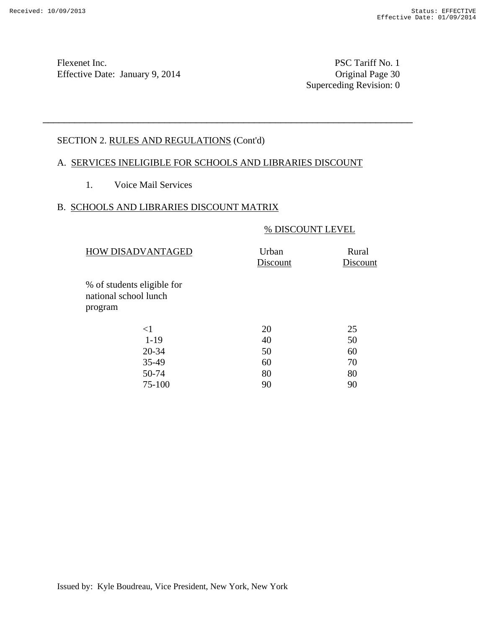Superceding Revision: 0

# SECTION 2. RULES AND REGULATIONS (Cont'd)

## A. SERVICES INELIGIBLE FOR SCHOOLS AND LIBRARIES DISCOUNT

\_\_\_\_\_\_\_\_\_\_\_\_\_\_\_\_\_\_\_\_\_\_\_\_\_\_\_\_\_\_\_\_\_\_\_\_\_\_\_\_\_\_\_\_\_\_\_\_\_\_\_\_\_\_\_\_\_\_\_\_\_\_\_\_\_\_\_\_\_\_

1. Voice Mail Services

# B. SCHOOLS AND LIBRARIES DISCOUNT MATRIX

### % DISCOUNT LEVEL

| HOW DISADVANTAGED                                   | Urban<br>Discount | Rural<br>Discount |
|-----------------------------------------------------|-------------------|-------------------|
| % of students eligible for<br>national school lunch |                   |                   |
| program                                             |                   |                   |
| $\leq$ 1                                            | 20                | 25                |
| $1-19$                                              | 40                | 50                |
| 20-34                                               | 50                | 60                |
| 35-49                                               | 60                | 70                |
| 50-74                                               | 80                | 80                |
| 75-100                                              | 90                | 90                |
|                                                     |                   |                   |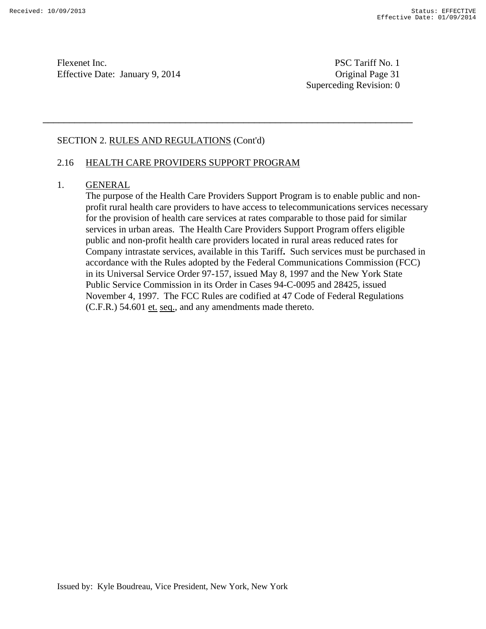Superceding Revision: 0

## SECTION 2. RULES AND REGULATIONS (Cont'd)

## 2.16 HEALTH CARE PROVIDERS SUPPORT PROGRAM

### 1. GENERAL

The purpose of the Health Care Providers Support Program is to enable public and nonprofit rural health care providers to have access to telecommunications services necessary for the provision of health care services at rates comparable to those paid for similar services in urban areas. The Health Care Providers Support Program offers eligible public and non-profit health care providers located in rural areas reduced rates for Company intrastate services, available in this Tariff**.** Such services must be purchased in accordance with the Rules adopted by the Federal Communications Commission (FCC) in its Universal Service Order 97-157, issued May 8, 1997 and the New York State Public Service Commission in its Order in Cases 94-C-0095 and 28425, issued November 4, 1997. The FCC Rules are codified at 47 Code of Federal Regulations (C.F.R.) 54.601 et. seq., and any amendments made thereto.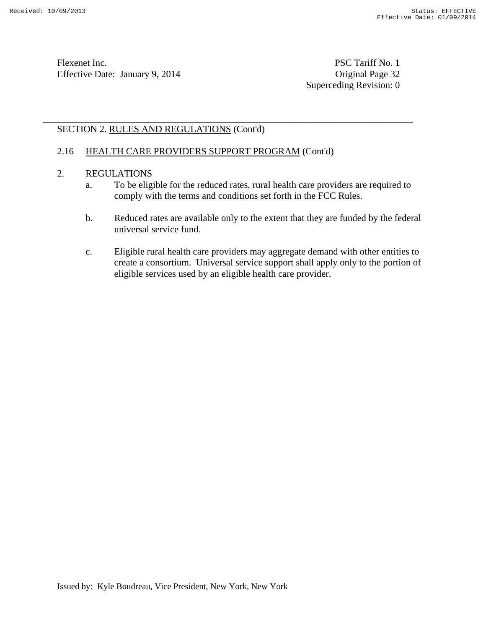Superceding Revision: 0

# SECTION 2. RULES AND REGULATIONS (Cont'd)

# 2.16 HEALTH CARE PROVIDERS SUPPORT PROGRAM (Cont'd)

# 2. REGULATIONS

a. To be eligible for the reduced rates, rural health care providers are required to comply with the terms and conditions set forth in the FCC Rules.

- b. Reduced rates are available only to the extent that they are funded by the federal universal service fund.
- c. Eligible rural health care providers may aggregate demand with other entities to create a consortium. Universal service support shall apply only to the portion of eligible services used by an eligible health care provider.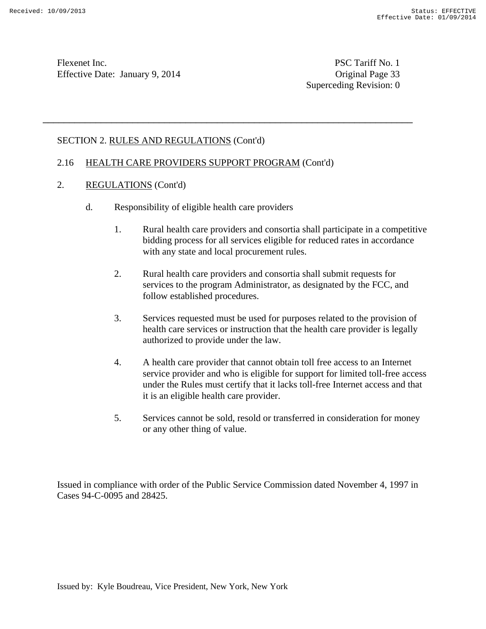Superceding Revision: 0

# SECTION 2. RULES AND REGULATIONS (Cont'd)

### 2.16 HEALTH CARE PROVIDERS SUPPORT PROGRAM (Cont'd)

\_\_\_\_\_\_\_\_\_\_\_\_\_\_\_\_\_\_\_\_\_\_\_\_\_\_\_\_\_\_\_\_\_\_\_\_\_\_\_\_\_\_\_\_\_\_\_\_\_\_\_\_\_\_\_\_\_\_\_\_\_\_\_\_\_\_\_\_\_\_

- 2. REGULATIONS (Cont'd)
	- d. Responsibility of eligible health care providers
		- 1. Rural health care providers and consortia shall participate in a competitive bidding process for all services eligible for reduced rates in accordance with any state and local procurement rules.
		- 2. Rural health care providers and consortia shall submit requests for services to the program Administrator, as designated by the FCC, and follow established procedures.
		- 3. Services requested must be used for purposes related to the provision of health care services or instruction that the health care provider is legally authorized to provide under the law.
		- 4. A health care provider that cannot obtain toll free access to an Internet service provider and who is eligible for support for limited toll-free access under the Rules must certify that it lacks toll-free Internet access and that it is an eligible health care provider.
		- 5. Services cannot be sold, resold or transferred in consideration for money or any other thing of value.

Issued in compliance with order of the Public Service Commission dated November 4, 1997 in Cases 94-C-0095 and 28425.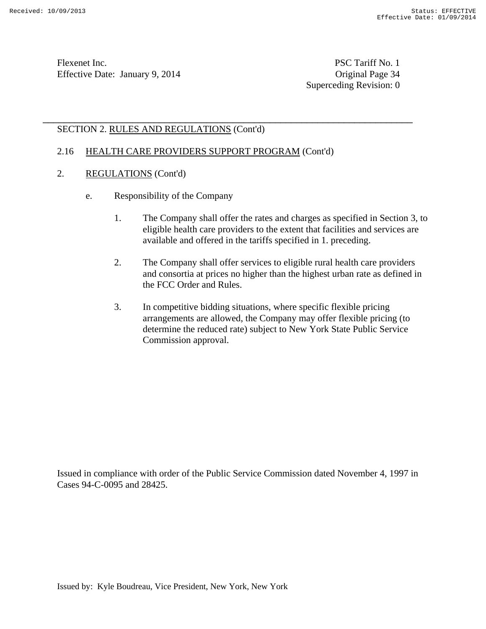Flexenet Inc. PSC Tariff No. 1 Effective Date: January 9, 2014 Contract Contract Contract Contract Contract Contract Contract Contract Contract Contract Contract Contract Contract Contract Contract Contrac

Superceding Revision: 0

# SECTION 2. RULES AND REGULATIONS (Cont'd)

## 2.16 HEALTH CARE PROVIDERS SUPPORT PROGRAM (Cont'd)

\_\_\_\_\_\_\_\_\_\_\_\_\_\_\_\_\_\_\_\_\_\_\_\_\_\_\_\_\_\_\_\_\_\_\_\_\_\_\_\_\_\_\_\_\_\_\_\_\_\_\_\_\_\_\_\_\_\_\_\_\_\_\_\_\_\_\_\_\_\_

- 2. REGULATIONS (Cont'd)
	- e. Responsibility of the Company
		- 1. The Company shall offer the rates and charges as specified in Section 3, to eligible health care providers to the extent that facilities and services are available and offered in the tariffs specified in 1. preceding.
		- 2. The Company shall offer services to eligible rural health care providers and consortia at prices no higher than the highest urban rate as defined in the FCC Order and Rules.
		- 3. In competitive bidding situations, where specific flexible pricing arrangements are allowed, the Company may offer flexible pricing (to determine the reduced rate) subject to New York State Public Service Commission approval.

Issued in compliance with order of the Public Service Commission dated November 4, 1997 in Cases 94-C-0095 and 28425.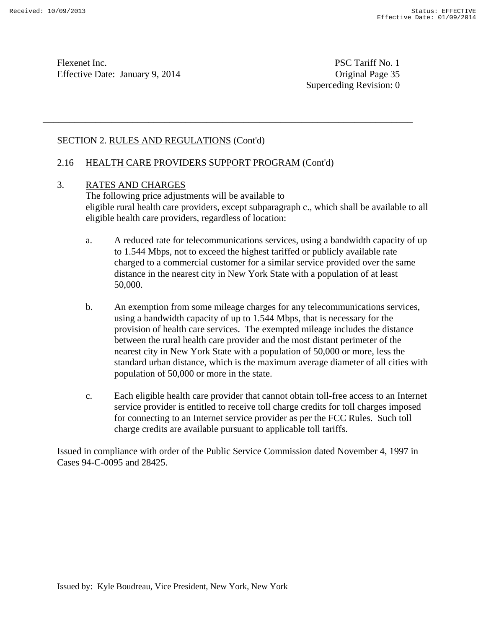Superceding Revision: 0

# SECTION 2. RULES AND REGULATIONS (Cont'd)

## 2.16 HEALTH CARE PROVIDERS SUPPORT PROGRAM (Cont'd)

\_\_\_\_\_\_\_\_\_\_\_\_\_\_\_\_\_\_\_\_\_\_\_\_\_\_\_\_\_\_\_\_\_\_\_\_\_\_\_\_\_\_\_\_\_\_\_\_\_\_\_\_\_\_\_\_\_\_\_\_\_\_\_\_\_\_\_\_\_\_

### 3. RATES AND CHARGES

The following price adjustments will be available to eligible rural health care providers, except subparagraph c., which shall be available to all eligible health care providers, regardless of location:

- a. A reduced rate for telecommunications services, using a bandwidth capacity of up to 1.544 Mbps, not to exceed the highest tariffed or publicly available rate charged to a commercial customer for a similar service provided over the same distance in the nearest city in New York State with a population of at least 50,000.
- b. An exemption from some mileage charges for any telecommunications services, using a bandwidth capacity of up to 1.544 Mbps, that is necessary for the provision of health care services. The exempted mileage includes the distance between the rural health care provider and the most distant perimeter of the nearest city in New York State with a population of 50,000 or more, less the standard urban distance, which is the maximum average diameter of all cities with population of 50,000 or more in the state.
- c. Each eligible health care provider that cannot obtain toll-free access to an Internet service provider is entitled to receive toll charge credits for toll charges imposed for connecting to an Internet service provider as per the FCC Rules. Such toll charge credits are available pursuant to applicable toll tariffs.

Issued in compliance with order of the Public Service Commission dated November 4, 1997 in Cases 94-C-0095 and 28425.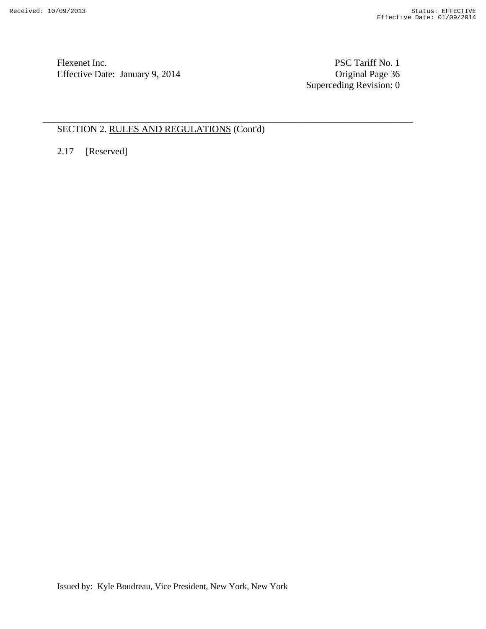Flexenet Inc. PSC Tariff No. 1 Effective Date: January 9, 2014

Original Page 36<br>Superceding Revision: 0

# SECTION 2. RULES AND REGULATIONS (Cont'd)

\_\_\_\_\_\_\_\_\_\_\_\_\_\_\_\_\_\_\_\_\_\_\_\_\_\_\_\_\_\_\_\_\_\_\_\_\_\_\_\_\_\_\_\_\_\_\_\_\_\_\_\_\_\_\_\_\_\_\_\_\_\_\_\_\_\_\_\_\_\_

2.17 [Reserved]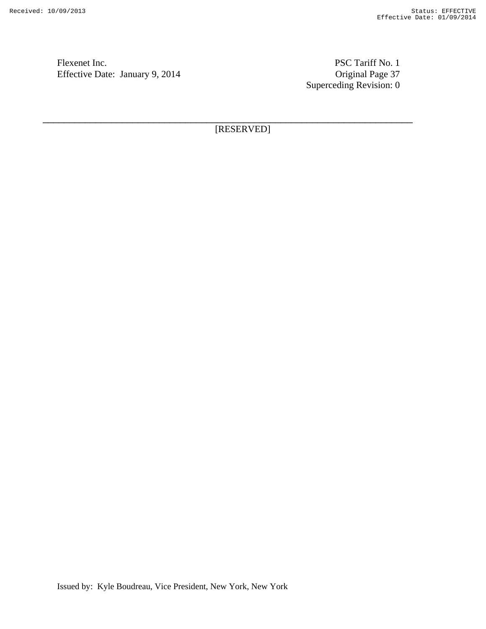Flexenet Inc. PSC Tariff No. 1 Effective Date: January 9, 2014

Original Page 37<br>Superceding Revision: 0

[RESERVED]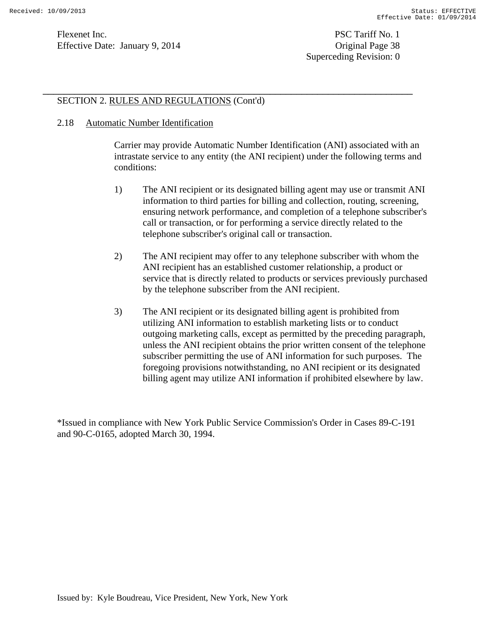# SECTION 2. RULES AND REGULATIONS (Cont'd)

### 2.18 Automatic Number Identification

Carrier may provide Automatic Number Identification (ANI) associated with an intrastate service to any entity (the ANI recipient) under the following terms and conditions:

\_\_\_\_\_\_\_\_\_\_\_\_\_\_\_\_\_\_\_\_\_\_\_\_\_\_\_\_\_\_\_\_\_\_\_\_\_\_\_\_\_\_\_\_\_\_\_\_\_\_\_\_\_\_\_\_\_\_\_\_\_\_\_\_\_\_\_\_\_\_

- 1) The ANI recipient or its designated billing agent may use or transmit ANI information to third parties for billing and collection, routing, screening, ensuring network performance, and completion of a telephone subscriber's call or transaction, or for performing a service directly related to the telephone subscriber's original call or transaction.
- 2) The ANI recipient may offer to any telephone subscriber with whom the ANI recipient has an established customer relationship, a product or service that is directly related to products or services previously purchased by the telephone subscriber from the ANI recipient.
- 3) The ANI recipient or its designated billing agent is prohibited from utilizing ANI information to establish marketing lists or to conduct outgoing marketing calls, except as permitted by the preceding paragraph, unless the ANI recipient obtains the prior written consent of the telephone subscriber permitting the use of ANI information for such purposes. The foregoing provisions notwithstanding, no ANI recipient or its designated billing agent may utilize ANI information if prohibited elsewhere by law.

\*Issued in compliance with New York Public Service Commission's Order in Cases 89-C-191 and 90-C-0165, adopted March 30, 1994.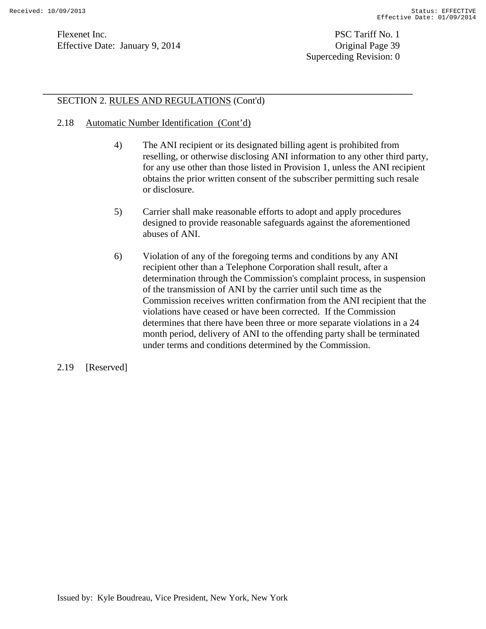Flexenet Inc. PSC Tariff No. 1 Effective Date: January 9, 2014 Greenbury 1, 2014 Griginal Page 39

Superceding Revision: 0

## SECTION 2. RULES AND REGULATIONS (Cont'd)

- 2.18 Automatic Number Identification (Cont'd)
	- 4) The ANI recipient or its designated billing agent is prohibited from reselling, or otherwise disclosing ANI information to any other third party, for any use other than those listed in Provision 1, unless the ANI recipient obtains the prior written consent of the subscriber permitting such resale or disclosure.

- 5) Carrier shall make reasonable efforts to adopt and apply procedures designed to provide reasonable safeguards against the aforementioned abuses of ANI.
- 6) Violation of any of the foregoing terms and conditions by any ANI recipient other than a Telephone Corporation shall result, after a determination through the Commission's complaint process, in suspension of the transmission of ANI by the carrier until such time as the Commission receives written confirmation from the ANI recipient that the violations have ceased or have been corrected. If the Commission determines that there have been three or more separate violations in a 24 month period, delivery of ANI to the offending party shall be terminated under terms and conditions determined by the Commission.
- 2.19 [Reserved]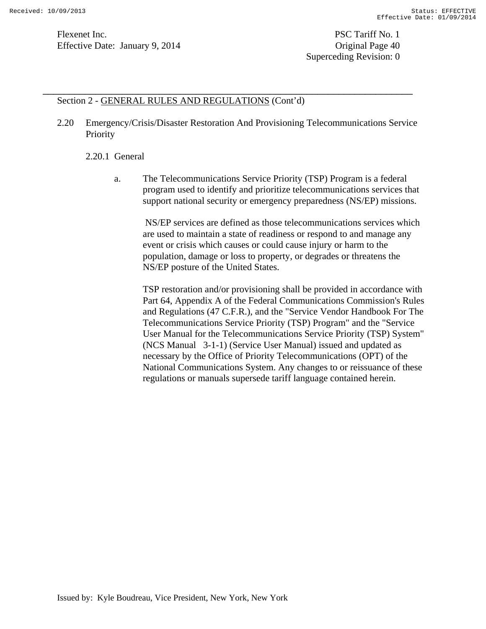Superceding Revision: 0

### Section 2 - GENERAL RULES AND REGULATIONS (Cont'd)

2.20 Emergency/Crisis/Disaster Restoration And Provisioning Telecommunications Service Priority

\_\_\_\_\_\_\_\_\_\_\_\_\_\_\_\_\_\_\_\_\_\_\_\_\_\_\_\_\_\_\_\_\_\_\_\_\_\_\_\_\_\_\_\_\_\_\_\_\_\_\_\_\_\_\_\_\_\_\_\_\_\_\_\_\_\_\_\_\_\_

### 2.20.1 General

a. The Telecommunications Service Priority (TSP) Program is a federal program used to identify and prioritize telecommunications services that support national security or emergency preparedness (NS/EP) missions.

 NS/EP services are defined as those telecommunications services which are used to maintain a state of readiness or respond to and manage any event or crisis which causes or could cause injury or harm to the population, damage or loss to property, or degrades or threatens the NS/EP posture of the United States.

TSP restoration and/or provisioning shall be provided in accordance with Part 64, Appendix A of the Federal Communications Commission's Rules and Regulations (47 C.F.R.), and the "Service Vendor Handbook For The Telecommunications Service Priority (TSP) Program" and the "Service User Manual for the Telecommunications Service Priority (TSP) System" (NCS Manual 3-1-1) (Service User Manual) issued and updated as necessary by the Office of Priority Telecommunications (OPT) of the National Communications System. Any changes to or reissuance of these regulations or manuals supersede tariff language contained herein.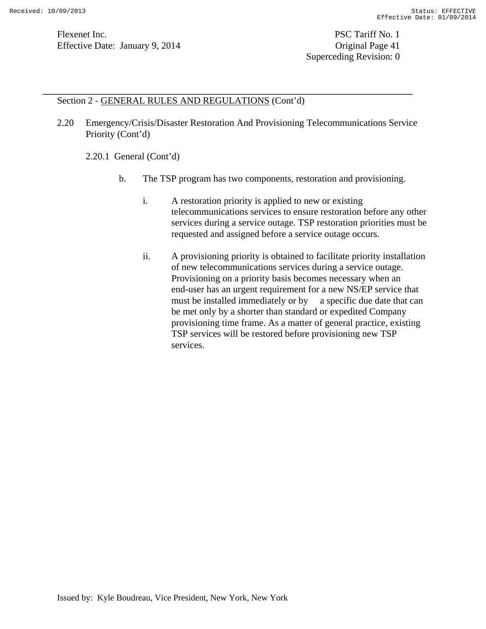Flexenet Inc. PSC Tariff No. 1 Effective Date: January 9, 2014 Contract Contract Contract Contract Contract Contract Contract Contract Contract Contract Contract Contract Contract Contract Contract Contrac

Superceding Revision: 0

### Section 2 - GENERAL RULES AND REGULATIONS (Cont'd)

2.20 Emergency/Crisis/Disaster Restoration And Provisioning Telecommunications Service Priority (Cont'd)

\_\_\_\_\_\_\_\_\_\_\_\_\_\_\_\_\_\_\_\_\_\_\_\_\_\_\_\_\_\_\_\_\_\_\_\_\_\_\_\_\_\_\_\_\_\_\_\_\_\_\_\_\_\_\_\_\_\_\_\_\_\_\_\_\_\_\_\_\_\_

2.20.1 General (Cont'd)

- b. The TSP program has two components, restoration and provisioning.
	- i. A restoration priority is applied to new or existing telecommunications services to ensure restoration before any other services during a service outage. TSP restoration priorities must be requested and assigned before a service outage occurs.
	- ii. A provisioning priority is obtained to facilitate priority installation of new telecommunications services during a service outage. Provisioning on a priority basis becomes necessary when an end-user has an urgent requirement for a new NS/EP service that must be installed immediately or by a specific due date that can be met only by a shorter than standard or expedited Company provisioning time frame. As a matter of general practice, existing TSP services will be restored before provisioning new TSP services.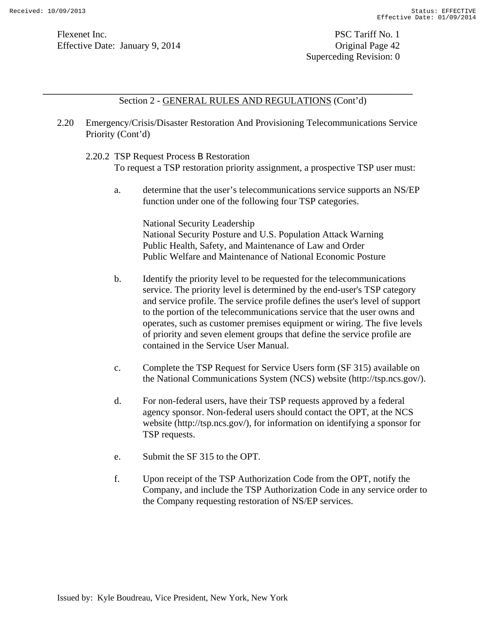Superceding Revision: 0

Section 2 - GENERAL RULES AND REGULATIONS (Cont'd)

2.20 Emergency/Crisis/Disaster Restoration And Provisioning Telecommunications Service Priority (Cont'd)

\_\_\_\_\_\_\_\_\_\_\_\_\_\_\_\_\_\_\_\_\_\_\_\_\_\_\_\_\_\_\_\_\_\_\_\_\_\_\_\_\_\_\_\_\_\_\_\_\_\_\_\_\_\_\_\_\_\_\_\_\_\_\_\_\_\_\_\_\_\_

2.20.2 TSP Request Process B Restoration

To request a TSP restoration priority assignment, a prospective TSP user must:

a. determine that the user's telecommunications service supports an NS/EP function under one of the following four TSP categories.

National Security Leadership National Security Posture and U.S. Population Attack Warning Public Health, Safety, and Maintenance of Law and Order Public Welfare and Maintenance of National Economic Posture

- b. Identify the priority level to be requested for the telecommunications service. The priority level is determined by the end-user's TSP category and service profile. The service profile defines the user's level of support to the portion of the telecommunications service that the user owns and operates, such as customer premises equipment or wiring. The five levels of priority and seven element groups that define the service profile are contained in the Service User Manual.
- c. Complete the TSP Request for Service Users form (SF 315) available on the National Communications System (NCS) website (http://tsp.ncs.gov/).
- d. For non-federal users, have their TSP requests approved by a federal agency sponsor. Non-federal users should contact the OPT, at the NCS website (http://tsp.ncs.gov/), for information on identifying a sponsor for TSP requests.
- e. Submit the SF 315 to the OPT.
- f. Upon receipt of the TSP Authorization Code from the OPT, notify the Company, and include the TSP Authorization Code in any service order to the Company requesting restoration of NS/EP services.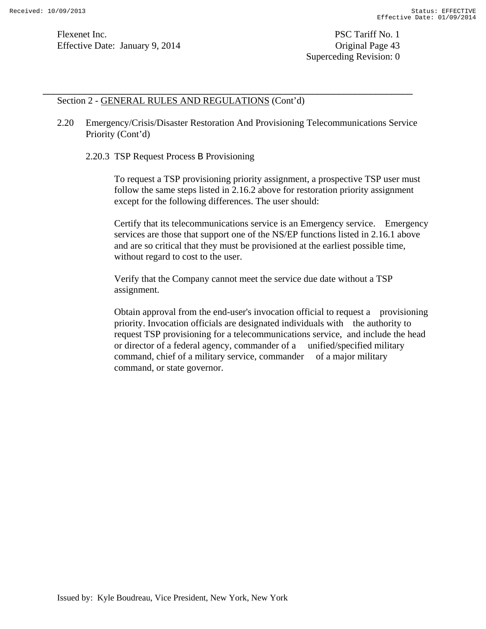Flexenet Inc. PSC Tariff No. 1 Effective Date: January 9, 2014 Contract Contract Contract Contract Contract Contract Contract Contract Contract Contract Contract Contract Contract Contract Contract Contrac

Superceding Revision: 0

### Section 2 - GENERAL RULES AND REGULATIONS (Cont'd)

2.20 Emergency/Crisis/Disaster Restoration And Provisioning Telecommunications Service Priority (Cont'd)

\_\_\_\_\_\_\_\_\_\_\_\_\_\_\_\_\_\_\_\_\_\_\_\_\_\_\_\_\_\_\_\_\_\_\_\_\_\_\_\_\_\_\_\_\_\_\_\_\_\_\_\_\_\_\_\_\_\_\_\_\_\_\_\_\_\_\_\_\_\_

2.20.3 TSP Request Process B Provisioning

To request a TSP provisioning priority assignment, a prospective TSP user must follow the same steps listed in 2.16.2 above for restoration priority assignment except for the following differences. The user should:

Certify that its telecommunications service is an Emergency service. Emergency services are those that support one of the NS/EP functions listed in 2.16.1 above and are so critical that they must be provisioned at the earliest possible time, without regard to cost to the user.

Verify that the Company cannot meet the service due date without a TSP assignment.

Obtain approval from the end-user's invocation official to request a provisioning priority. Invocation officials are designated individuals with the authority to request TSP provisioning for a telecommunications service, and include the head or director of a federal agency, commander of a unified/specified military command, chief of a military service, commander of a major military command, or state governor.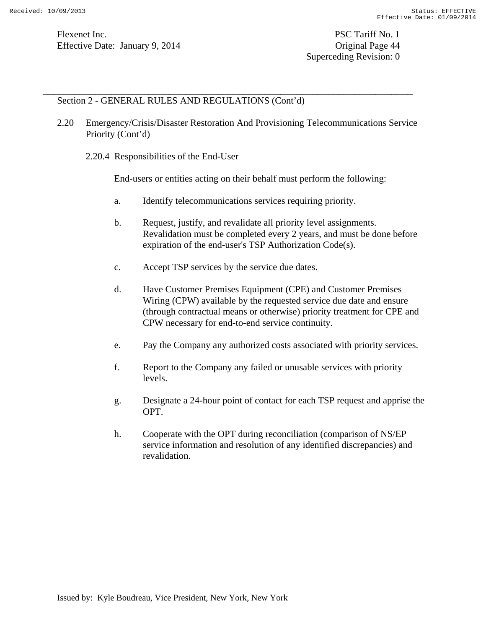## Section 2 - GENERAL RULES AND REGULATIONS (Cont'd)

2.20 Emergency/Crisis/Disaster Restoration And Provisioning Telecommunications Service Priority (Cont'd)

\_\_\_\_\_\_\_\_\_\_\_\_\_\_\_\_\_\_\_\_\_\_\_\_\_\_\_\_\_\_\_\_\_\_\_\_\_\_\_\_\_\_\_\_\_\_\_\_\_\_\_\_\_\_\_\_\_\_\_\_\_\_\_\_\_\_\_\_\_\_

2.20.4 Responsibilities of the End-User

End-users or entities acting on their behalf must perform the following:

- a. Identify telecommunications services requiring priority.
- b. Request, justify, and revalidate all priority level assignments. Revalidation must be completed every 2 years, and must be done before expiration of the end-user's TSP Authorization Code(s).
- c. Accept TSP services by the service due dates.
- d. Have Customer Premises Equipment (CPE) and Customer Premises Wiring (CPW) available by the requested service due date and ensure (through contractual means or otherwise) priority treatment for CPE and CPW necessary for end-to-end service continuity.
- e. Pay the Company any authorized costs associated with priority services.
- f. Report to the Company any failed or unusable services with priority levels.
- g. Designate a 24-hour point of contact for each TSP request and apprise the OPT.
- h. Cooperate with the OPT during reconciliation (comparison of NS/EP service information and resolution of any identified discrepancies) and revalidation.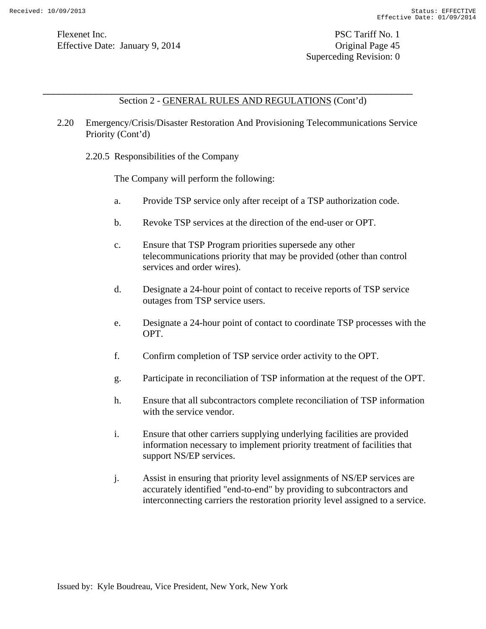Section 2 - GENERAL RULES AND REGULATIONS (Cont'd)

2.20 Emergency/Crisis/Disaster Restoration And Provisioning Telecommunications Service Priority (Cont'd)

\_\_\_\_\_\_\_\_\_\_\_\_\_\_\_\_\_\_\_\_\_\_\_\_\_\_\_\_\_\_\_\_\_\_\_\_\_\_\_\_\_\_\_\_\_\_\_\_\_\_\_\_\_\_\_\_\_\_\_\_\_\_\_\_\_\_\_\_\_\_

2.20.5 Responsibilities of the Company

The Company will perform the following:

- a. Provide TSP service only after receipt of a TSP authorization code.
- b. Revoke TSP services at the direction of the end-user or OPT.
- c. Ensure that TSP Program priorities supersede any other telecommunications priority that may be provided (other than control services and order wires).
- d. Designate a 24-hour point of contact to receive reports of TSP service outages from TSP service users.
- e. Designate a 24-hour point of contact to coordinate TSP processes with the OPT.
- f. Confirm completion of TSP service order activity to the OPT.
- g. Participate in reconciliation of TSP information at the request of the OPT.
- h. Ensure that all subcontractors complete reconciliation of TSP information with the service vendor.
- i. Ensure that other carriers supplying underlying facilities are provided information necessary to implement priority treatment of facilities that support NS/EP services.
- j. Assist in ensuring that priority level assignments of NS/EP services are accurately identified "end-to-end" by providing to subcontractors and interconnecting carriers the restoration priority level assigned to a service.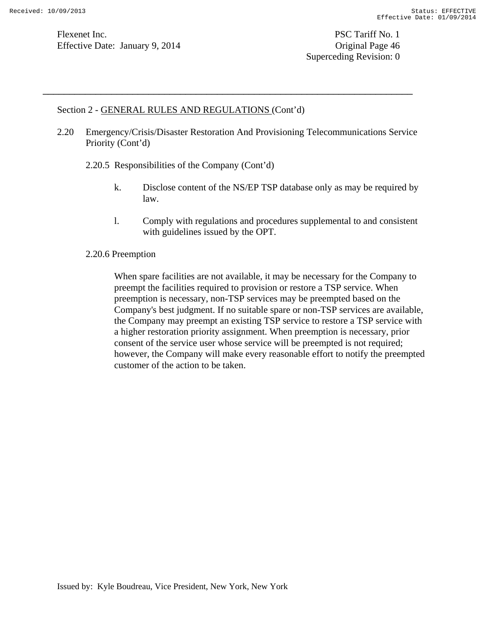Superceding Revision: 0

### Section 2 - GENERAL RULES AND REGULATIONS (Cont'd)

2.20 Emergency/Crisis/Disaster Restoration And Provisioning Telecommunications Service Priority (Cont'd)

\_\_\_\_\_\_\_\_\_\_\_\_\_\_\_\_\_\_\_\_\_\_\_\_\_\_\_\_\_\_\_\_\_\_\_\_\_\_\_\_\_\_\_\_\_\_\_\_\_\_\_\_\_\_\_\_\_\_\_\_\_\_\_\_\_\_\_\_\_\_

- 2.20.5 Responsibilities of the Company (Cont'd)
	- k. Disclose content of the NS/EP TSP database only as may be required by law.
	- l. Comply with regulations and procedures supplemental to and consistent with guidelines issued by the OPT.

### 2.20.6 Preemption

When spare facilities are not available, it may be necessary for the Company to preempt the facilities required to provision or restore a TSP service. When preemption is necessary, non-TSP services may be preempted based on the Company's best judgment. If no suitable spare or non-TSP services are available, the Company may preempt an existing TSP service to restore a TSP service with a higher restoration priority assignment. When preemption is necessary, prior consent of the service user whose service will be preempted is not required; however, the Company will make every reasonable effort to notify the preempted customer of the action to be taken.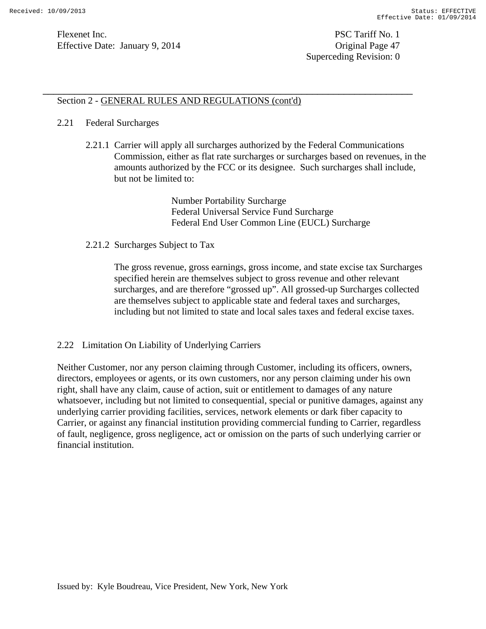## Section 2 - GENERAL RULES AND REGULATIONS (cont'd)

### 2.21 Federal Surcharges

2.21.1 Carrier will apply all surcharges authorized by the Federal Communications Commission, either as flat rate surcharges or surcharges based on revenues, in the amounts authorized by the FCC or its designee. Such surcharges shall include, but not be limited to:

\_\_\_\_\_\_\_\_\_\_\_\_\_\_\_\_\_\_\_\_\_\_\_\_\_\_\_\_\_\_\_\_\_\_\_\_\_\_\_\_\_\_\_\_\_\_\_\_\_\_\_\_\_\_\_\_\_\_\_\_\_\_\_\_\_\_\_\_\_\_

Number Portability Surcharge Federal Universal Service Fund Surcharge Federal End User Common Line (EUCL) Surcharge

### 2.21.2 Surcharges Subject to Tax

The gross revenue, gross earnings, gross income, and state excise tax Surcharges specified herein are themselves subject to gross revenue and other relevant surcharges, and are therefore "grossed up". All grossed-up Surcharges collected are themselves subject to applicable state and federal taxes and surcharges, including but not limited to state and local sales taxes and federal excise taxes.

### 2.22 Limitation On Liability of Underlying Carriers

Neither Customer, nor any person claiming through Customer, including its officers, owners, directors, employees or agents, or its own customers, nor any person claiming under his own right, shall have any claim, cause of action, suit or entitlement to damages of any nature whatsoever, including but not limited to consequential, special or punitive damages, against any underlying carrier providing facilities, services, network elements or dark fiber capacity to Carrier, or against any financial institution providing commercial funding to Carrier, regardless of fault, negligence, gross negligence, act or omission on the parts of such underlying carrier or financial institution.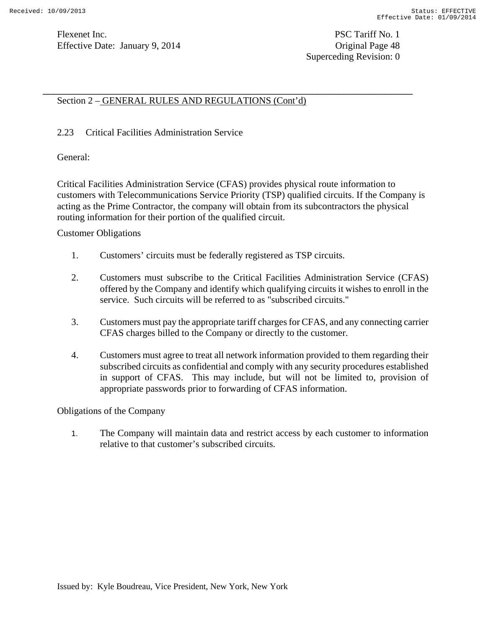Superceding Revision: 0

## Section 2 – GENERAL RULES AND REGULATIONS (Cont'd)

### 2.23 Critical Facilities Administration Service

General:

Critical Facilities Administration Service (CFAS) provides physical route information to customers with Telecommunications Service Priority (TSP) qualified circuits. If the Company is acting as the Prime Contractor, the company will obtain from its subcontractors the physical routing information for their portion of the qualified circuit.

\_\_\_\_\_\_\_\_\_\_\_\_\_\_\_\_\_\_\_\_\_\_\_\_\_\_\_\_\_\_\_\_\_\_\_\_\_\_\_\_\_\_\_\_\_\_\_\_\_\_\_\_\_\_\_\_\_\_\_\_\_\_\_\_\_\_\_\_\_\_

Customer Obligations

- 1. Customers' circuits must be federally registered as TSP circuits.
- 2. Customers must subscribe to the Critical Facilities Administration Service (CFAS) offered by the Company and identify which qualifying circuits it wishes to enroll in the service. Such circuits will be referred to as "subscribed circuits."
- 3. Customers must pay the appropriate tariff charges for CFAS, and any connecting carrier CFAS charges billed to the Company or directly to the customer.
- 4. Customers must agree to treat all network information provided to them regarding their subscribed circuits as confidential and comply with any security procedures established in support of CFAS. This may include, but will not be limited to, provision of appropriate passwords prior to forwarding of CFAS information.

Obligations of the Company

1. The Company will maintain data and restrict access by each customer to information relative to that customer's subscribed circuits.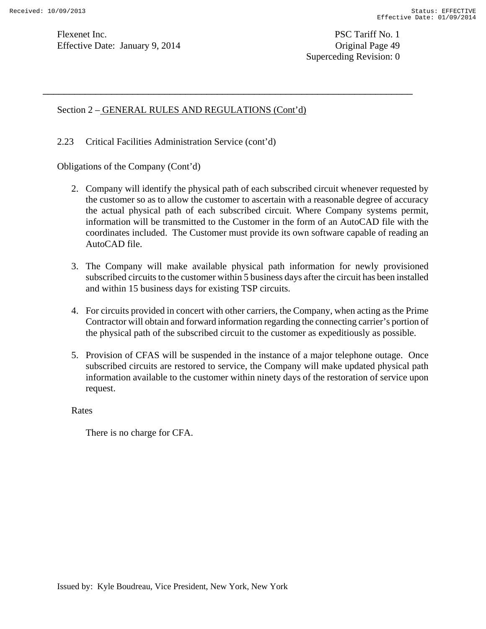Superceding Revision: 0

### Section 2 – GENERAL RULES AND REGULATIONS (Cont'd)

2.23 Critical Facilities Administration Service (cont'd)

Obligations of the Company (Cont'd)

2. Company will identify the physical path of each subscribed circuit whenever requested by the customer so as to allow the customer to ascertain with a reasonable degree of accuracy the actual physical path of each subscribed circuit. Where Company systems permit, information will be transmitted to the Customer in the form of an AutoCAD file with the coordinates included. The Customer must provide its own software capable of reading an AutoCAD file.

\_\_\_\_\_\_\_\_\_\_\_\_\_\_\_\_\_\_\_\_\_\_\_\_\_\_\_\_\_\_\_\_\_\_\_\_\_\_\_\_\_\_\_\_\_\_\_\_\_\_\_\_\_\_\_\_\_\_\_\_\_\_\_\_\_\_\_\_\_\_

- 3. The Company will make available physical path information for newly provisioned subscribed circuits to the customer within 5 business days after the circuit has been installed and within 15 business days for existing TSP circuits.
- 4. For circuits provided in concert with other carriers, the Company, when acting as the Prime Contractor will obtain and forward information regarding the connecting carrier's portion of the physical path of the subscribed circuit to the customer as expeditiously as possible.
- 5. Provision of CFAS will be suspended in the instance of a major telephone outage. Once subscribed circuits are restored to service, the Company will make updated physical path information available to the customer within ninety days of the restoration of service upon request.

Rates

There is no charge for CFA.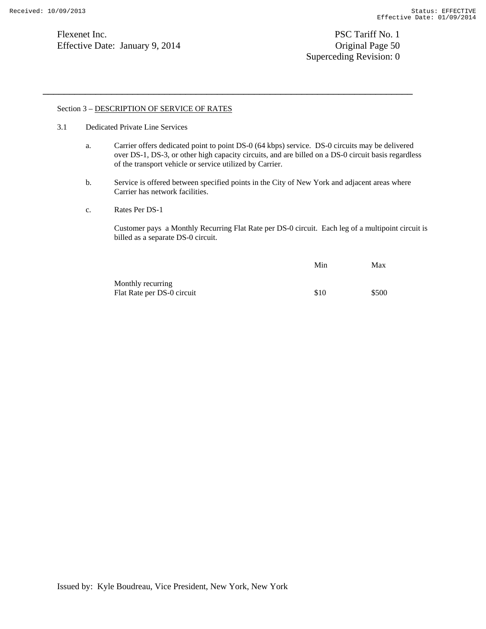Flexenet Inc. PSC Tariff No. 1 Effective Date: January 9, 2014 Contract Contract Contract Contract Contract Contract Contract Contract Contract Contract Contract Contract Contract Contract Contract Contrac

Superceding Revision: 0

#### Section 3 – DESCRIPTION OF SERVICE OF RATES

- 3.1 Dedicated Private Line Services
	- a. Carrier offers dedicated point to point DS-0 (64 kbps) service. DS-0 circuits may be delivered over DS-1, DS-3, or other high capacity circuits, and are billed on a DS-0 circuit basis regardless of the transport vehicle or service utilized by Carrier.

\_\_\_\_\_\_\_\_\_\_\_\_\_\_\_\_\_\_\_\_\_\_\_\_\_\_\_\_\_\_\_\_\_\_\_\_\_\_\_\_\_\_\_\_\_\_\_\_\_\_\_\_\_\_\_\_\_\_\_\_\_\_\_\_\_\_\_\_\_\_

- b. Service is offered between specified points in the City of New York and adjacent areas where Carrier has network facilities.
- c. Rates Per DS-1

Customer pays a Monthly Recurring Flat Rate per DS-0 circuit. Each leg of a multipoint circuit is billed as a separate DS-0 circuit.

|                            | Min  | Max   |
|----------------------------|------|-------|
| Monthly recurring          |      |       |
| Flat Rate per DS-0 circuit | \$10 | \$500 |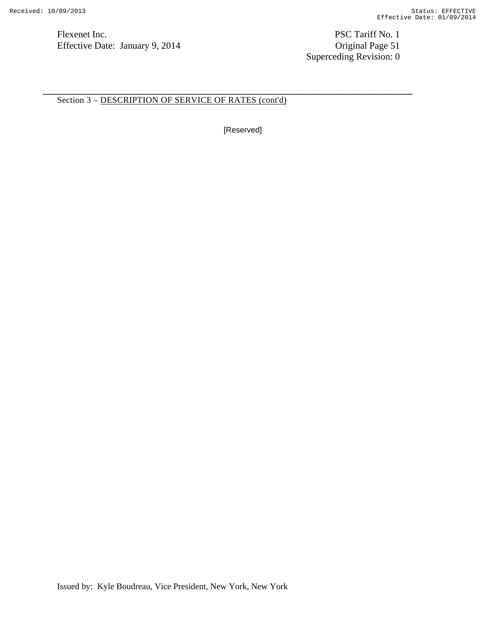Flexenet Inc. PSC Tariff No. 1<br>
Effective Date: January 9, 2014 Criginal Page 51 Effective Date: January 9, 2014

Superceding Revision: 0

Section 3 – DESCRIPTION OF SERVICE OF RATES (cont'd)

[Reserved]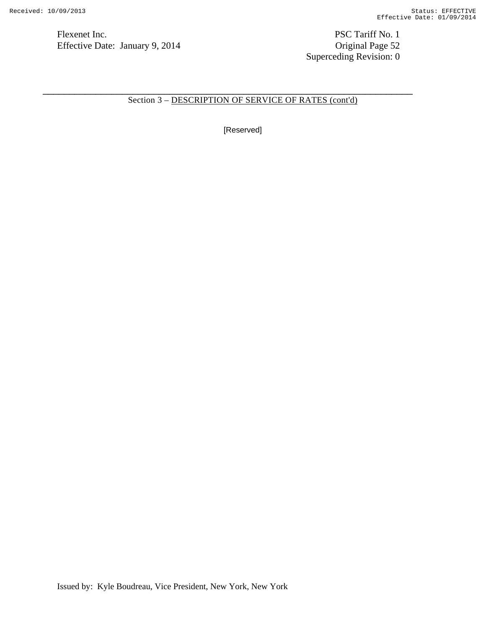Flexenet Inc.<br>
PSC Tariff No. 1<br>
Effective Date: January 9, 2014<br>
Original Page 52 Effective Date: January 9, 2014

Superceding Revision: 0

Section 3 – DESCRIPTION OF SERVICE OF RATES (cont'd)

\_\_\_\_\_\_\_\_\_\_\_\_\_\_\_\_\_\_\_\_\_\_\_\_\_\_\_\_\_\_\_\_\_\_\_\_\_\_\_\_\_\_\_\_\_\_\_\_\_\_\_\_\_\_\_\_\_\_\_\_\_\_\_\_\_\_\_\_\_\_

[Reserved]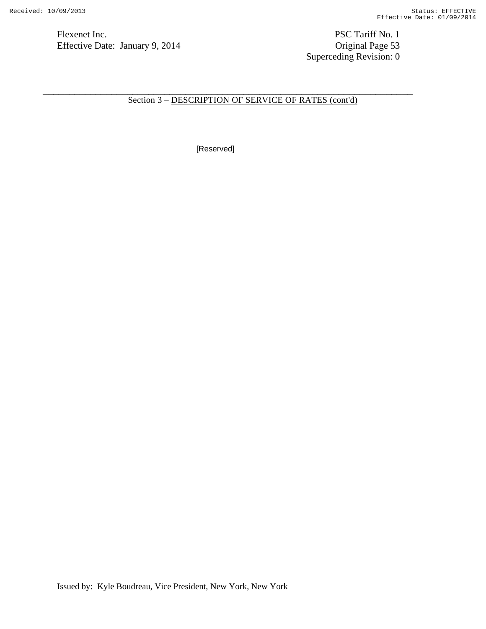Flexenet Inc. PSC Tariff No. 1<br>
Effective Date: January 9, 2014 Criginal Page 53 Effective Date: January 9, 2014

Superceding Revision: 0

Section 3 – DESCRIPTION OF SERVICE OF RATES (cont'd)

\_\_\_\_\_\_\_\_\_\_\_\_\_\_\_\_\_\_\_\_\_\_\_\_\_\_\_\_\_\_\_\_\_\_\_\_\_\_\_\_\_\_\_\_\_\_\_\_\_\_\_\_\_\_\_\_\_\_\_\_\_\_\_\_\_\_\_\_\_\_

[Reserved]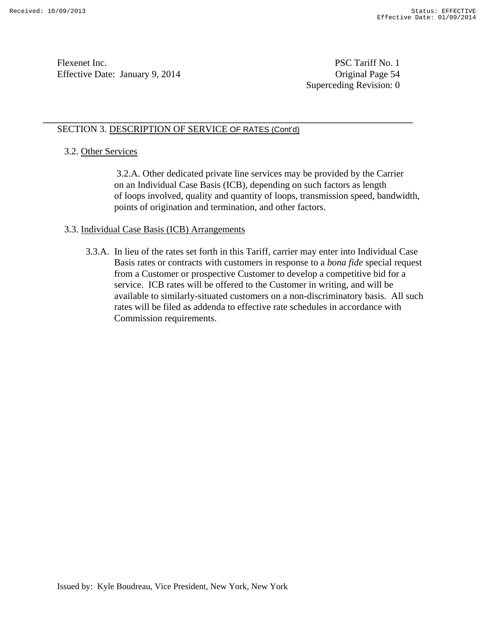Superceding Revision: 0

# SECTION 3. DESCRIPTION OF SERVICE OF RATES (Cont'd)

\_\_\_\_\_\_\_\_\_\_\_\_\_\_\_\_\_\_\_\_\_\_\_\_\_\_\_\_\_\_\_\_\_\_\_\_\_\_\_\_\_\_\_\_\_\_\_\_\_\_\_\_\_\_\_\_\_\_\_\_\_\_\_\_\_\_\_\_\_\_

## 3.2. Other Services

 3.2.A. Other dedicated private line services may be provided by the Carrier on an Individual Case Basis (ICB), depending on such factors as length of loops involved, quality and quantity of loops, transmission speed, bandwidth, points of origination and termination, and other factors.

## 3.3. Individual Case Basis (ICB) Arrangements

3.3.A. In lieu of the rates set forth in this Tariff, carrier may enter into Individual Case Basis rates or contracts with customers in response to a *bona fide* special request from a Customer or prospective Customer to develop a competitive bid for a service. ICB rates will be offered to the Customer in writing, and will be available to similarly-situated customers on a non-discriminatory basis. All such rates will be filed as addenda to effective rate schedules in accordance with Commission requirements.